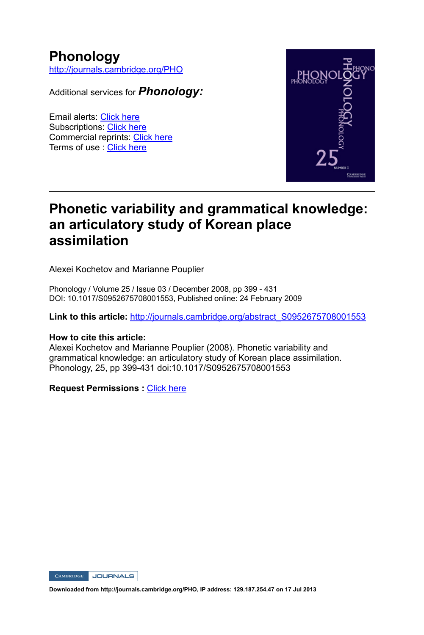## **Phonology**

http://journals.cambridge.org/PHO

Additional services for *Phonology:*

Email alerts: Click here Subscriptions: Click here Commercial reprints: Click here Terms of use : Click here



## **Phonetic variability and grammatical knowledge: an articulatory study of Korean place assimilation**

Alexei Kochetov and Marianne Pouplier

Phonology / Volume 25 / Issue 03 / December 2008, pp 399 - 431 DOI: 10.1017/S0952675708001553, Published online: 24 February 2009

**Link to this article:** http://journals.cambridge.org/abstract\_S0952675708001553

#### **How to cite this article:**

Alexei Kochetov and Marianne Pouplier (2008). Phonetic variability and grammatical knowledge: an articulatory study of Korean place assimilation. Phonology, 25, pp 399431 doi:10.1017/S0952675708001553

**Request Permissions :** Click here

CAMBRIDGE JOURNALS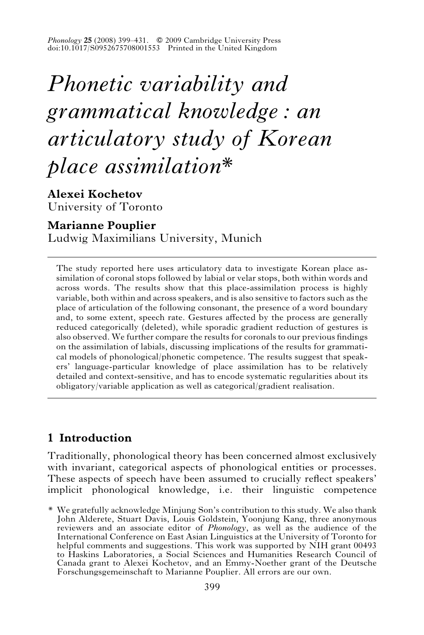*Phonology* **25** (2008) 399–431. *f* 2009 Cambridge University Press doi:10.1017/S0952675708001553 Printed in the United Kingdom

# *Phonetic variability and grammatical knowledge : an articulatory study of Korean place assimilation\**

**Alexei Kochetov** University of Toronto

## **Marianne Pouplier**

Ludwig Maximilians University, Munich

The study reported here uses articulatory data to investigate Korean place assimilation of coronal stops followed by labial or velar stops, both within words and across words. The results show that this place-assimilation process is highly variable, both within and across speakers, and is also sensitive to factors such as the place of articulation of the following consonant, the presence of a word boundary and, to some extent, speech rate. Gestures affected by the process are generally reduced categorically (deleted), while sporadic gradient reduction of gestures is also observed. We further compare the results for coronals to our previous findings on the assimilation of labials, discussing implications of the results for grammatical models of phonological/phonetic competence. The results suggest that speakers' language-particular knowledge of place assimilation has to be relatively detailed and context-sensitive, and has to encode systematic regularities about its obligatory/variable application as well as categorical/gradient realisation.

## **1 Introduction**

Traditionally, phonological theory has been concerned almost exclusively with invariant, categorical aspects of phonological entities or processes. These aspects of speech have been assumed to crucially reflect speakers' implicit phonological knowledge, i.e. their linguistic competence

<sup>\*</sup> We gratefully acknowledge Minjung Son's contribution to this study. We also thank John Alderete, Stuart Davis, Louis Goldstein, Yoonjung Kang, three anonymous reviewers and an associate editor of *Phonology*, as well as the audience of the International Conference on East Asian Linguistics at the University of Toronto for helpful comments and suggestions. This work was supported by NIH grant 00493 to Haskins Laboratories, a Social Sciences and Humanities Research Council of Canada grant to Alexei Kochetov, and an Emmy-Noether grant of the Deutsche Forschungsgemeinschaft to Marianne Pouplier. All errors are our own.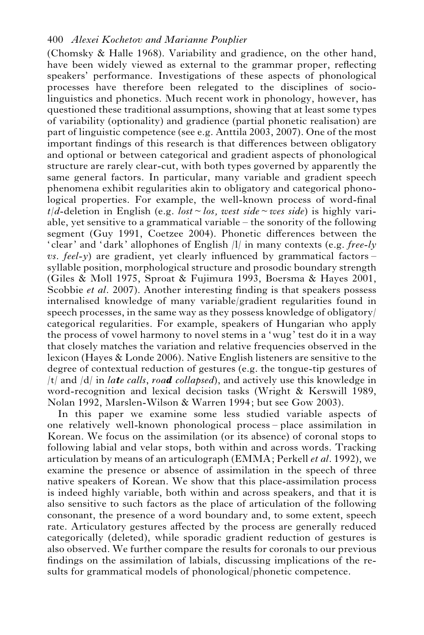(Chomsky & Halle 1968). Variability and gradience, on the other hand, have been widely viewed as external to the grammar proper, reflecting speakers' performance. Investigations of these aspects of phonological processes have therefore been relegated to the disciplines of sociolinguistics and phonetics. Much recent work in phonology, however, has questioned these traditional assumptions, showing that at least some types of variability (optionality) and gradience (partial phonetic realisation) are part of linguistic competence (see e.g. Anttila 2003, 2007). One of the most important findings of this research is that differences between obligatory and optional or between categorical and gradient aspects of phonological structure are rarely clear-cut, with both types governed by apparently the same general factors. In particular, many variable and gradient speech phenomena exhibit regularities akin to obligatory and categorical phonological properties. For example, the well-known process of word-final  $t/d$ -deletion in English (e.g. *lost*  $\sim$  *los, west side*  $\sim$  *wes side*) is highly variable, yet sensitive to a grammatical variable – the sonority of the following segment (Guy 1991, Coetzee 2004). Phonetic differences between the 'clear' and 'dark' allophones of English /l/ in many contexts (e.g. *free-ly vs. feel-y*) are gradient, yet clearly influenced by grammatical factors – syllable position, morphological structure and prosodic boundary strength (Giles & Moll 1975, Sproat & Fujimura 1993, Boersma & Hayes 2001, Scobbie *et al*. 2007). Another interesting finding is that speakers possess internalised knowledge of many variable/gradient regularities found in speech processes, in the same way as they possess knowledge of obligatory/ categorical regularities. For example, speakers of Hungarian who apply the process of vowel harmony to novel stems in a 'wug' test do it in a way that closely matches the variation and relative frequencies observed in the lexicon (Hayes & Londe 2006). Native English listeners are sensitive to the degree of contextual reduction of gestures (e.g. the tongue-tip gestures of /t/ and /d/ in *la*t*e calls*, *roa*d *collapsed*), and actively use this knowledge in word-recognition and lexical decision tasks (Wright & Kerswill 1989, Nolan 1992, Marslen-Wilson & Warren 1994; but see Gow 2003).

In this paper we examine some less studied variable aspects of one relatively well-known phonological process – place assimilation in Korean. We focus on the assimilation (or its absence) of coronal stops to following labial and velar stops, both within and across words. Tracking articulation by means of an articulograph (EMMA; Perkell *et al*. 1992), we examine the presence or absence of assimilation in the speech of three native speakers of Korean. We show that this place-assimilation process is indeed highly variable, both within and across speakers, and that it is also sensitive to such factors as the place of articulation of the following consonant, the presence of a word boundary and, to some extent, speech rate. Articulatory gestures affected by the process are generally reduced categorically (deleted), while sporadic gradient reduction of gestures is also observed. We further compare the results for coronals to our previous findings on the assimilation of labials, discussing implications of the results for grammatical models of phonological/phonetic competence.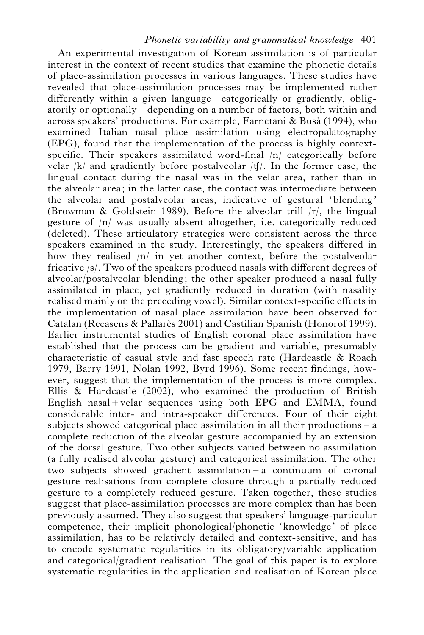An experimental investigation of Korean assimilation is of particular interest in the context of recent studies that examine the phonetic details of place-assimilation processes in various languages. These studies have revealed that place-assimilation processes may be implemented rather differently within a given language – categorically or gradiently, obligatorily or optionally – depending on a number of factors, both within and across speakers' productions. For example, Farnetani & Busa` (1994), who examined Italian nasal place assimilation using electropalatography (EPG), found that the implementation of the process is highly contextspecific. Their speakers assimilated word-final  $|n|$  categorically before velar  $|k|$  and gradiently before postalveolar  $|f|$ . In the former case, the lingual contact during the nasal was in the velar area, rather than in the alveolar area; in the latter case, the contact was intermediate between the alveolar and postalveolar areas, indicative of gestural 'blending' (Browman & Goldstein 1989). Before the alveolar trill  $|r|$ , the lingual gesture of /n/ was usually absent altogether, i.e. categorically reduced (deleted). These articulatory strategies were consistent across the three speakers examined in the study. Interestingly, the speakers differed in how they realised /n/ in yet another context, before the postalveolar fricative /s/. Two of the speakers produced nasals with different degrees of alveolar/postalveolar blending; the other speaker produced a nasal fully assimilated in place, yet gradiently reduced in duration (with nasality realised mainly on the preceding vowel). Similar context-specific effects in the implementation of nasal place assimilation have been observed for Catalan (Recasens & Pallarès 2001) and Castilian Spanish (Honorof 1999). Earlier instrumental studies of English coronal place assimilation have established that the process can be gradient and variable, presumably characteristic of casual style and fast speech rate (Hardcastle & Roach 1979, Barry 1991, Nolan 1992, Byrd 1996). Some recent findings, however, suggest that the implementation of the process is more complex. Ellis & Hardcastle (2002), who examined the production of British English nasal+velar sequences using both EPG and EMMA, found considerable inter- and intra-speaker differences. Four of their eight subjects showed categorical place assimilation in all their productions – a complete reduction of the alveolar gesture accompanied by an extension of the dorsal gesture. Two other subjects varied between no assimilation (a fully realised alveolar gesture) and categorical assimilation. The other two subjects showed gradient assimilation – a continuum of coronal gesture realisations from complete closure through a partially reduced gesture to a completely reduced gesture. Taken together, these studies suggest that place-assimilation processes are more complex than has been previously assumed. They also suggest that speakers' language-particular competence, their implicit phonological/phonetic 'knowledge' of place assimilation, has to be relatively detailed and context-sensitive, and has to encode systematic regularities in its obligatory/variable application and categorical/gradient realisation. The goal of this paper is to explore systematic regularities in the application and realisation of Korean place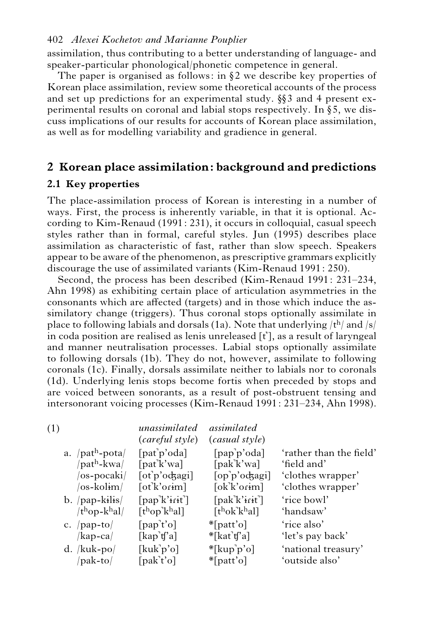assimilation, thus contributing to a better understanding of language- and speaker-particular phonological/phonetic competence in general.

The paper is organised as follows: in  $\S$ 2 we describe key properties of Korean place assimilation, review some theoretical accounts of the process and set up predictions for an experimental study.  $\S$  3 and 4 present experimental results on coronal and labial stops respectively. In  $\S$ 5, we discuss implications of our results for accounts of Korean place assimilation, as well as for modelling variability and gradience in general.

## **2 Korean place assimilation: background and predictions**

## **2.1 Key properties**

 $($ 

The place-assimilation process of Korean is interesting in a number of ways. First, the process is inherently variable, in that it is optional. According to Kim-Renaud (1991: 231), it occurs in colloquial, casual speech styles rather than in formal, careful styles. Jun (1995) describes place assimilation as characteristic of fast, rather than slow speech. Speakers appear to be aware of the phenomenon, as prescriptive grammars explicitly discourage the use of assimilated variants (Kim-Renaud 1991: 250).

Second, the process has been described (Kim-Renaud 1991: 231–234, Ahn 1998) as exhibiting certain place of articulation asymmetries in the consonants which are affected (targets) and in those which induce the assimilatory change (triggers). Thus coronal stops optionally assimilate in place to following labials and dorsals (1a). Note that underlying  $/t<sup>h</sup>/$  and  $/s/$ place to following labials and dorsals (1a). Note that underlying /t<sup>u</sup>/ and /s/<br>in coda position are realised as lenis unreleased [t'], as a result of laryngeal and manner neutralisation processes. Labial stops optionally assimilate to following dorsals (1b). They do not, however, assimilate to following coronals (1c). Finally, dorsals assimilate neither to labials nor to coronals (1d). Underlying lenis stops become fortis when preceded by stops and are voiced between sonorants, as a result of post-obstruent tensing and intersonorant voicing processes (Kim-Renaud 1991: 231–234, Ahn 1998).

| 1)                                      | unassimilated<br>(careful style)      | <i>assimilated</i><br>(casual style)                       |                         |
|-----------------------------------------|---------------------------------------|------------------------------------------------------------|-------------------------|
| a. $\sqrt{pat^h\text{-}pota}/$          | $[pat]$ <sup>o'oda]</sup>             | [pap'p'oda]                                                | 'rather than the field' |
| /path-kwa/                              | [pat'k'wa]                            | [pak'k'wa]                                                 | 'field and'             |
| $\alpha$ -pocaki/                       | [ot <sup>'</sup> p'odzagi]            | [op'p'odzagi]                                              | 'clothes wrapper'       |
| /os-kol <del>i</del> m/                 | [ot'k' or im]                         | $[ok'k'$ orim]                                             | 'clothes wrapper'       |
| $b.$ /pap-kilis/                        | $\lceil$ pap $\lceil$ k'irit $\rceil$ | $[pak'k'$ irit]                                            | 'rice bowl'             |
| $/t$ <sup>h</sup> op-k <sup>h</sup> al/ | $\lceil \text{thop'khal} \rceil$      | $\lceil$ t <sup>h</sup> ok <sup>1</sup> k <sup>h</sup> al] | 'handsaw'               |
| c. $\vert$ pap-to $\vert$               | $[$ pap $\vec{t}$ 'o $]$              | $\mathbb{I}$ [patt'o]                                      | 'rice also'             |
| /kap-ca/                                | [kap'tf'a]                            | $*$ [kat't]'a]                                             | 'let's pay back'        |
| d. $/kuk-po/$                           | [kuk'p'o]                             | $*$ [kup'p'o]                                              | 'national treasury'     |
| pak-to/                                 | [pak't'o]                             | $*[{\mathsf{part}}' {\mathsf{o}}]$                         | 'outside also'          |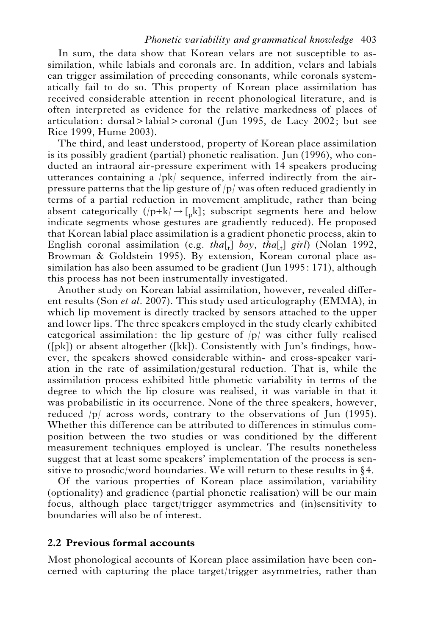#### *Phonetic variability and grammatical knowledge* 403

In sum, the data show that Korean velars are not susceptible to assimilation, while labials and coronals are. In addition, velars and labials can trigger assimilation of preceding consonants, while coronals systematically fail to do so. This property of Korean place assimilation has received considerable attention in recent phonological literature, and is often interpreted as evidence for the relative markedness of places of articulation: dorsal > labial > coronal (Jun 1995, de Lacy 2002; but see Rice 1999, Hume 2003).

The third, and least understood, property of Korean place assimilation is its possibly gradient (partial) phonetic realisation. Jun (1996), who conducted an intraoral air-pressure experiment with 14 speakers producing utterances containing a /pk/ sequence, inferred indirectly from the airpressure patterns that the lip gesture of /p/ was often reduced gradiently in terms of a partial reduction in movement amplitude, rather than being absent categorically  $(|p+k| \rightarrow [p]k]$ ; subscript segments here and below indicate segments whose gestures are gradiently reduced). He proposed that Korean labial place assimilation is a gradient phonetic process, akin to English coronal assimilation (e.g. *tha*[ $_{t}$ ] *boy*, *tha*[ $_{t}$ ] *girl*) (Nolan 1992, Browman & Goldstein 1995). By extension, Korean coronal place assimilation has also been assumed to be gradient (Jun 1995: 171), although this process has not been instrumentally investigated.

Another study on Korean labial assimilation, however, revealed different results (Son *et al*. 2007). This study used articulography (EMMA), in which lip movement is directly tracked by sensors attached to the upper and lower lips. The three speakers employed in the study clearly exhibited categorical assimilation: the lip gesture of  $|p|$  was either fully realised  $([pk])$  or absent altogether  $([kk])$ . Consistently with Jun's findings, however, the speakers showed considerable within- and cross-speaker variation in the rate of assimilation/gestural reduction. That is, while the assimilation process exhibited little phonetic variability in terms of the degree to which the lip closure was realised, it was variable in that it was probabilistic in its occurrence. None of the three speakers, however, reduced  $|p|$  across words, contrary to the observations of Jun (1995). Whether this difference can be attributed to differences in stimulus composition between the two studies or was conditioned by the different measurement techniques employed is unclear. The results nonetheless suggest that at least some speakers' implementation of the process is sensitive to prosodic/word boundaries. We will return to these results in  $§4$ .

Of the various properties of Korean place assimilation, variability (optionality) and gradience (partial phonetic realisation) will be our main focus, although place target/trigger asymmetries and (in)sensitivity to boundaries will also be of interest.

## **2.2 Previous formal accounts**

Most phonological accounts of Korean place assimilation have been concerned with capturing the place target/trigger asymmetries, rather than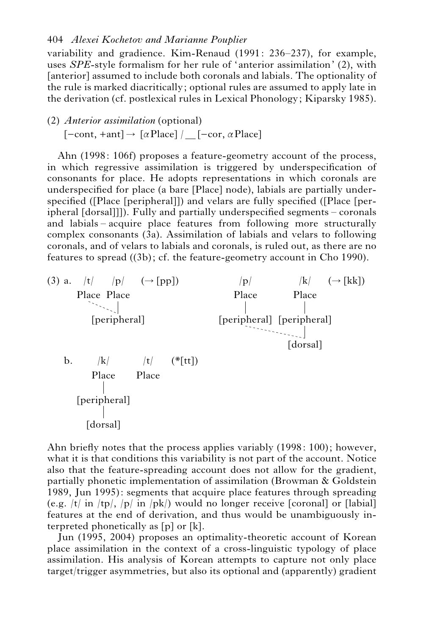variability and gradience. Kim-Renaud (1991: 236–237), for example, uses *SPE*-style formalism for her rule of 'anterior assimilation' (2), with [anterior] assumed to include both coronals and labials. The optionality of the rule is marked diacritically; optional rules are assumed to apply late in the derivation (cf. postlexical rules in Lexical Phonology; Kiparsky 1985).

## (2) *Anterior assimilation* (optional)  $[-cont, +ant] \rightarrow [\alpha$ Place] / $[-cor, \alpha$ Place]

Ahn (1998: 106f) proposes a feature-geometry account of the process, in which regressive assimilation is triggered by underspecification of consonants for place. He adopts representations in which coronals are underspecified for place (a bare [Place] node), labials are partially underspecified ([Place [peripheral]]) and velars are fully specified ([Place [peripheral [dorsal]]]). Fully and partially underspecified segments – coronals and labials – acquire place features from following more structurally complex consonants (3a). Assimilation of labials and velars to following coronals, and of velars to labials and coronals, is ruled out, as there are no features to spread ((3b); cf. the feature-geometry account in Cho 1990).



Ahn briefly notes that the process applies variably (1998: 100); however, what it is that conditions this variability is not part of the account. Notice also that the feature-spreading account does not allow for the gradient, partially phonetic implementation of assimilation (Browman & Goldstein 1989, Jun 1995): segments that acquire place features through spreading (e.g.  $|t|$  in  $|tp|$ ,  $|p|$  in  $|pk|$ ) would no longer receive [coronal] or [labial] features at the end of derivation, and thus would be unambiguously interpreted phonetically as [p] or [k].

Jun (1995, 2004) proposes an optimality-theoretic account of Korean place assimilation in the context of a cross-linguistic typology of place assimilation. His analysis of Korean attempts to capture not only place target/trigger asymmetries, but also its optional and (apparently) gradient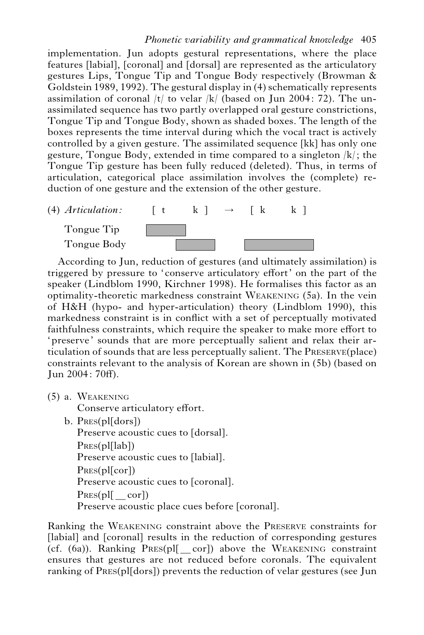implementation. Jun adopts gestural representations, where the place features [labial], [coronal] and [dorsal] are represented as the articulatory gestures Lips, Tongue Tip and Tongue Body respectively (Browman & Goldstein 1989, 1992). The gestural display in (4) schematically represents assimilation of coronal  $|t|$  to velar  $|k|$  (based on Jun 2004: 72). The unassimilated sequence has two partly overlapped oral gesture constrictions, Tongue Tip and Tongue Body, shown as shaded boxes. The length of the boxes represents the time interval during which the vocal tract is actively controlled by a given gesture. The assimilated sequence [kk] has only one gesture, Tongue Body, extended in time compared to a singleton /k/; the Tongue Tip gesture has been fully reduced (deleted). Thus, in terms of articulation, categorical place assimilation involves the (complete) reduction of one gesture and the extension of the other gesture.



According to Jun, reduction of gestures (and ultimately assimilation) is triggered by pressure to 'conserve articulatory effort' on the part of the speaker (Lindblom 1990, Kirchner 1998). He formalises this factor as an optimality-theoretic markedness constraint WEAKENING (5a). In the vein of H&H (hypo- and hyper-articulation) theory (Lindblom 1990), this markedness constraint is in conflict with a set of perceptually motivated faithfulness constraints, which require the speaker to make more effort to 'preserve' sounds that are more perceptually salient and relax their articulation of sounds that are less perceptually salient. The PRESERVE(place) constraints relevant to the analysis of Korean are shown in (5b) (based on Jun 2004: 70ff).

(5) a. WEAKENING

Conserve articulatory effort.

b. Pres(pl[dors])

Preserve acoustic cues to [dorsal]. PRES(pl[lab]) Preserve acoustic cues to [labial]. PRES(pl[cor]) Preserve acoustic cues to [coronal].  $PRES(pl[cor])$ Preserve acoustic place cues before [coronal].

Ranking the WEAKENING constraint above the PRESERVE constraints for [labial] and [coronal] results in the reduction of corresponding gestures (cf.  $(6a)$ ). Ranking PRES(pl[ $cor$ ]) above the WEAKENING constraint ensures that gestures are not reduced before coronals. The equivalent ranking of PRES(pl[dors]) prevents the reduction of velar gestures (see Jun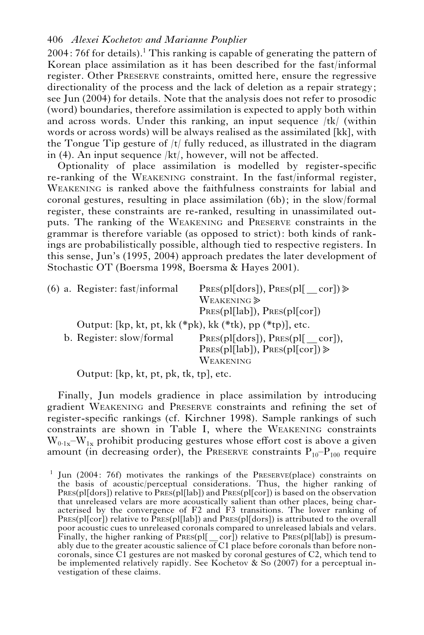$2004: 76f$  for details).<sup>1</sup> This ranking is capable of generating the pattern of Korean place assimilation as it has been described for the fast/informal register. Other PRESERVE constraints, omitted here, ensure the regressive directionality of the process and the lack of deletion as a repair strategy; see Jun (2004) for details. Note that the analysis does not refer to prosodic (word) boundaries, therefore assimilation is expected to apply both within and across words. Under this ranking, an input sequence /tk/ (within words or across words) will be always realised as the assimilated [kk], with the Tongue Tip gesture of  $|t|$  fully reduced, as illustrated in the diagram in (4). An input sequence /kt/, however, will not be affected.

Optionality of place assimilation is modelled by register-specific re-ranking of the WEAKENING constraint. In the fast/informal register, WEAKENING is ranked above the faithfulness constraints for labial and coronal gestures, resulting in place assimilation (6b); in the slow/formal register, these constraints are re-ranked, resulting in unassimilated outputs. The ranking of the WEAKENING and PRESERVE constraints in the grammar is therefore variable (as opposed to strict): both kinds of rankings are probabilistically possible, although tied to respective registers. In this sense, Jun's (1995, 2004) approach predates the later development of Stochastic OT (Boersma 1998, Boersma & Hayes 2001).

|  | $(6)$ a. Register: fast/informal                                  | $PRES(p1[dors]), PRES(p1[cor]) \ge$                                 |
|--|-------------------------------------------------------------------|---------------------------------------------------------------------|
|  |                                                                   | WEAKENING $\gg$                                                     |
|  |                                                                   | $PRES(p1[lab])$ , $PRES(p1[cor])$                                   |
|  | Output: [kp, kt, pt, kk $(*pk)$ , kk $(*tk)$ , pp $(*tp)$ ], etc. |                                                                     |
|  | b. Register: slow/formal                                          | PRES(p1[dors]), PRES(p1[cor]),<br>$PRES(p1[lab])$ , $PRES(p1[cor])$ |
|  |                                                                   | WEAKENING                                                           |

Output: [kp, kt, pt, pk, tk, tp], etc.

Finally, Jun models gradience in place assimilation by introducing gradient WEAKENING and PRESERVE constraints and refining the set of register-specific rankings (cf. Kirchner 1998). Sample rankings of such constraints are shown in Table I, where the WEAKENING constraints  $W_{0.1x}-W_{1x}$  prohibit producing gestures whose effort cost is above a given amount (in decreasing order), the PRESERVE constraints  $P_{10}-P_{100}$  require

<sup>1</sup> Jun (2004: 76f) motivates the rankings of the PRESERVE(place) constraints on the basis of acoustic/perceptual considerations. Thus, the higher ranking of PRES(pl[dors]) relative to PRES(pl[lab]) and PRES(pl[cor]) is based on the observation that unreleased velars are more acoustically salient than other places, being characterised by the convergence of F2 and F3 transitions. The lower ranking of PRES(pl[cor]) relative to PRES(pl[lab]) and PRES(pl[dors]) is attributed to the overall poor acoustic cues to unreleased coronals compared to unreleased labials and velars. Finally, the higher ranking of PRES(pl[\_cor]) relative to PRES(pl[lab]) is presumably due to the greater acoustic salience of C1 place before coronals than before noncoronals, since C1 gestures are not masked by coronal gestures of C2, which tend to be implemented relatively rapidly. See Kochetov  $\&$  So (2007) for a perceptual investigation of these claims.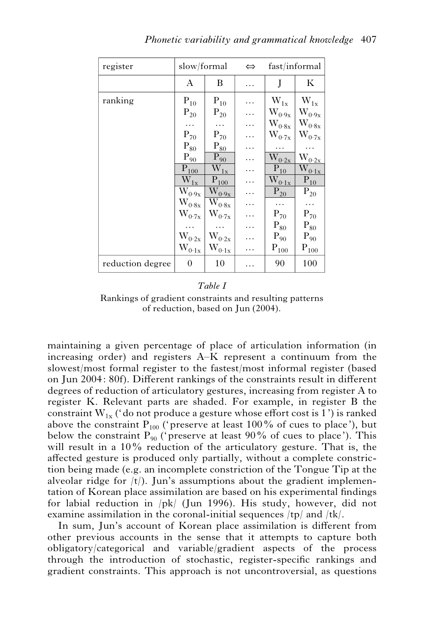| register         | slow/formal                                    |                               | $\Leftrightarrow$ | fast/informal             |                           |
|------------------|------------------------------------------------|-------------------------------|-------------------|---------------------------|---------------------------|
|                  | A                                              | В                             | .                 | J                         | К                         |
| ranking          | $\mathbf{P}_{10}$                              | $\mathbf{P}_{10}$             |                   | $\rm W_{1x}$              | $\rm W_{1x}$              |
|                  | $\mathrm{P}_{20}$                              | $\mathbf{P}_{20}$             | .                 | $W_{0\cdot 9x}$           | $W_{0\cdot 9x}$           |
|                  | .                                              | .                             | .                 | $\rm W_{0\cdot 8x}$       | $\rm W_{0\cdot 8x}$       |
|                  | $\mathrm{P}_{70}$                              | $\mathrm{P}_{70}$             | .                 | $\rm W_{0\cdot7x}$        | $\rm W_{0\cdot7x}$        |
|                  | $\mathrm{P}_{80}$                              | $\mathrm{P}_{8\underline{0}}$ | .                 | .                         | .                         |
|                  | $\mathbf{P}_{9\underline{0}}$                  | $P_{90}$                      | .                 | $\rm \bar{W}_{0\cdot 2x}$ | $W_{\text{0-2x}}$         |
|                  | $P_{100}$                                      | $\rm \bar{W}_{1x}$            | .                 | $P_{10}$                  | $\rm \bar{W}_{0\cdot 1x}$ |
|                  | $\rm \bar{W}_{1x}$                             | $P_{100}$                     | .                 | $\rm \bar{W}_{0\cdot 1x}$ | $\overline{P_{10}}$       |
|                  | $\rm \bar{W}_{0.9x}$                           | $\rm \overline{W_{0.9x}}$     | .                 | $\overline{P_{20}}$       | $P_{20}$                  |
|                  | $\rm W_{0^-8x}$                                | $\rm\bar{W}_{0.8x}$           |                   |                           | .                         |
|                  | $\rm W_{0\cdot7x}$                             | $\rm W_{0\cdot7x}$            |                   | $P_{70}$                  | $P_{70}$                  |
|                  |                                                |                               | .                 | $\mathrm{P}_{80}$         | $\mathrm{P}_{80}$         |
|                  | $W_{0\cdot 2x}$                                | $W_{0\cdot 2x}$               |                   | $\mathrm{P}_{90}$         | $\mathrm{P}_{90}$         |
|                  | $\mathbf{W}_{0\cdot 1 \underline{\mathbf{x}}}$ | $W_{0\cdot 1x}$               | .                 | $P_{100}$                 | $\mathbf{P}_{100}$        |
| reduction degree | 0                                              | 10                            | .                 | 90                        | 100                       |

#### *Table I*

Rankings of gradient constraints and resulting patterns of reduction, based on Jun (2004).

maintaining a given percentage of place of articulation information (in increasing order) and registers A–K represent a continuum from the slowest/most formal register to the fastest/most informal register (based on Jun 2004: 80f). Different rankings of the constraints result in different degrees of reduction of articulatory gestures, increasing from register A to register K. Relevant parts are shaded. For example, in register B the constraint  $W_{1x}$  ('do not produce a gesture whose effort cost is 1') is ranked above the constraint  $P_{100}$  ('preserve at least 100% of cues to place'), but below the constraint  $P_{90}$  ('preserve at least 90% of cues to place'). This will result in a 10% reduction of the articulatory gesture. That is, the affected gesture is produced only partially, without a complete constriction being made (e.g. an incomplete constriction of the Tongue Tip at the alveolar ridge for  $|t\rangle$ . Jun's assumptions about the gradient implementation of Korean place assimilation are based on his experimental findings for labial reduction in /pk/ (Jun 1996). His study, however, did not examine assimilation in the coronal-initial sequences /tp/ and /tk/.

In sum, Jun's account of Korean place assimilation is different from other previous accounts in the sense that it attempts to capture both obligatory/categorical and variable/gradient aspects of the process through the introduction of stochastic, register-specific rankings and gradient constraints. This approach is not uncontroversial, as questions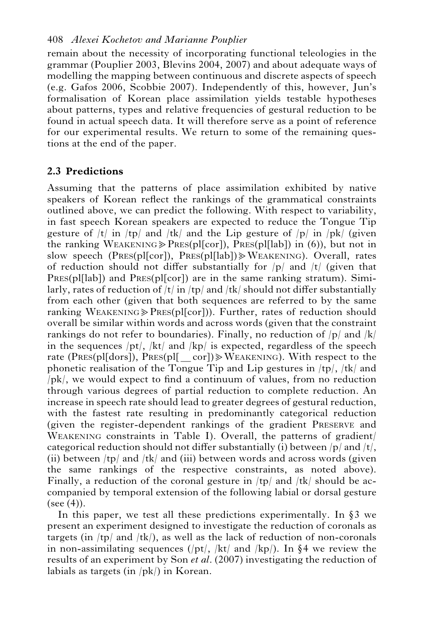remain about the necessity of incorporating functional teleologies in the grammar (Pouplier 2003, Blevins 2004, 2007) and about adequate ways of modelling the mapping between continuous and discrete aspects of speech (e.g. Gafos 2006, Scobbie 2007). Independently of this, however, Jun's formalisation of Korean place assimilation yields testable hypotheses about patterns, types and relative frequencies of gestural reduction to be found in actual speech data. It will therefore serve as a point of reference for our experimental results. We return to some of the remaining questions at the end of the paper.

## **2.3 Predictions**

Assuming that the patterns of place assimilation exhibited by native speakers of Korean reflect the rankings of the grammatical constraints outlined above, we can predict the following. With respect to variability, in fast speech Korean speakers are expected to reduce the Tongue Tip gesture of  $|t|$  in  $|tp|$  and  $|tk|$  and the Lip gesture of  $|p|$  in  $|pk|$  (given the ranking WEAKENING $\geq$ PRES(pl[cor]), PRES(pl[lab]) in (6)), but not in slow speech (PRES(pl[cor]), PRES(pl[lab]) $\gg$ WEAKENING). Overall, rates of reduction should not differ substantially for  $|p|$  and  $|t|$  (given that PRES(pl[lab]) and PRES(pl[cor]) are in the same ranking stratum). Similarly, rates of reduction of  $|t|$  in  $|tp|$  and  $|tk|$  should not differ substantially from each other (given that both sequences are referred to by the same ranking WEAKENING $\geq$ PRES(pl[cor])). Further, rates of reduction should overall be similar within words and across words (given that the constraint rankings do not refer to boundaries). Finally, no reduction of  $|p|$  and  $|k|$ in the sequences  $\frac{pt}{k}$  /kt/ and  $\frac{kp}{is}$  is expected, regardless of the speech rate (PRES(pl[dors]), PRES(pl[ $cor$ ]) $\gg$ WEAKENING). With respect to the phonetic realisation of the Tongue Tip and Lip gestures in /tp/, /tk/ and /pk/, we would expect to find a continuum of values, from no reduction through various degrees of partial reduction to complete reduction. An increase in speech rate should lead to greater degrees of gestural reduction, with the fastest rate resulting in predominantly categorical reduction (given the register-dependent rankings of the gradient PRESERVE and WEAKENING constraints in Table I). Overall, the patterns of gradient/ categorical reduction should not differ substantially (i) between  $|p|$  and  $|t|$ , (ii) between  $\langle$ tp $\rangle$  and  $\langle$ tk $\rangle$  and (iii) between words and across words (given the same rankings of the respective constraints, as noted above). Finally, a reduction of the coronal gesture in  $\langle \text{tp} \rangle$  and  $\langle \text{tk} \rangle$  should be accompanied by temporal extension of the following labial or dorsal gesture  $(see (4)).$ 

In this paper, we test all these predictions experimentally. In  $\S$  we present an experiment designed to investigate the reduction of coronals as targets (in  $\vert$ tp $\vert$  and  $\vert$ tk $\vert$ ), as well as the lack of reduction of non-coronals in non-assimilating sequences (/pt/, /kt/ and /kp/). In  $\S4$  we review the results of an experiment by Son *et al*. (2007) investigating the reduction of labials as targets (in /pk/) in Korean.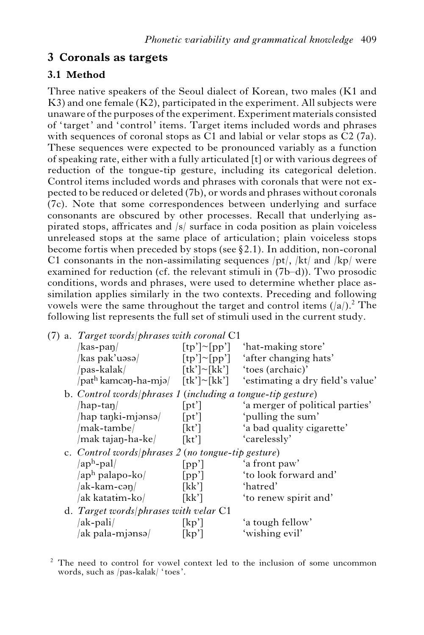## **3 Coronals as targets**

## **3.1 Method**

Three native speakers of the Seoul dialect of Korean, two males (K1 and K3) and one female (K2), participated in the experiment. All subjects were unaware of the purposes of the experiment. Experiment materials consisted of ' target' and 'control' items. Target items included words and phrases with sequences of coronal stops as C1 and labial or velar stops as C2 (7a). These sequences were expected to be pronounced variably as a function of speaking rate, either with a fully articulated [t] or with various degrees of reduction of the tongue-tip gesture, including its categorical deletion. Control items included words and phrases with coronals that were not expected to be reduced or deleted (7b), or words and phrases without coronals (7c). Note that some correspondences between underlying and surface consonants are obscured by other processes. Recall that underlying aspirated stops, affricates and /s/ surface in coda position as plain voiceless unreleased stops at the same place of articulation; plain voiceless stops become fortis when preceded by stops (see  $\S 2.1$ ). In addition, non-coronal C1 consonants in the non-assimilating sequences  $(pt/$ ,  $/kt/$  and  $/kp/$  were examined for reduction (cf. the relevant stimuli in (7b–d)). Two prosodic conditions, words and phrases, were used to determine whether place assimilation applies similarly in the two contexts. Preceding and following vowels were the same throughout the target and control items  $(|a|)$ .<sup>2</sup> The following list represents the full set of stimuli used in the current study.

| (7) a. Target words/phrases with coronal $C1$ |                      |                                                                                                                                                                                                                                                                        |  |  |  |
|-----------------------------------------------|----------------------|------------------------------------------------------------------------------------------------------------------------------------------------------------------------------------------------------------------------------------------------------------------------|--|--|--|
| $\frac{1}{\text{kas-pan}}$                    | $[tp'] \sim [pp']$   | 'hat-making store'                                                                                                                                                                                                                                                     |  |  |  |
| /kas pak'uəsə/                                | $[tp'] \sim [pp']$   | 'after changing hats'                                                                                                                                                                                                                                                  |  |  |  |
| /pas-kalak/                                   |                      | $[\text{tk'}]~\sim$ [kk'] 'toes (archaic)'                                                                                                                                                                                                                             |  |  |  |
|                                               |                      |                                                                                                                                                                                                                                                                        |  |  |  |
|                                               |                      |                                                                                                                                                                                                                                                                        |  |  |  |
| $/hap-tan/$                                   | [pt']                | 'a merger of political parties'                                                                                                                                                                                                                                        |  |  |  |
| /hap taŋki-mjənsə/                            | [pt']                | 'pulling the sum'                                                                                                                                                                                                                                                      |  |  |  |
| /mak-tambe/                                   | $\lceil k t' \rceil$ | 'a bad quality cigarette'                                                                                                                                                                                                                                              |  |  |  |
|                                               |                      | 'carelessly'                                                                                                                                                                                                                                                           |  |  |  |
|                                               |                      |                                                                                                                                                                                                                                                                        |  |  |  |
| $\langle$ aph-pal $\rangle$                   | [pp']                | 'a front paw'                                                                                                                                                                                                                                                          |  |  |  |
| /ap <sup>h</sup> palapo-ko/                   | [pp']                | 'to look forward and'                                                                                                                                                                                                                                                  |  |  |  |
| /ak-kam-cəŋ/                                  | [kk']                | 'hatred'                                                                                                                                                                                                                                                               |  |  |  |
| /ak katat <del>i</del> m-ko/                  | [kk']                | 'to renew spirit and'                                                                                                                                                                                                                                                  |  |  |  |
|                                               |                      |                                                                                                                                                                                                                                                                        |  |  |  |
| /ak-pali/                                     | $\lceil kp' \rceil$  | 'a tough fellow'                                                                                                                                                                                                                                                       |  |  |  |
| /ak pala-mjənsə/                              | kp'                  | 'wishing evil'                                                                                                                                                                                                                                                         |  |  |  |
|                                               |                      | $\pi$ /path kamcan-ha-mja/ [tk']~[kk'] 'estimating a dry field's value'<br>b. Control words/phrases 1 (including a tongue-tip gesture)<br>/mak tajan-ha-ke/ [kt']<br>c. Control words   phrases $2$ (no tongue-tip gesture)<br>d. Target words/phrases with velar $C1$ |  |  |  |

 $2<sup>2</sup>$  The need to control for vowel context led to the inclusion of some uncommon words, such as /pas-kalak/ ' toes'.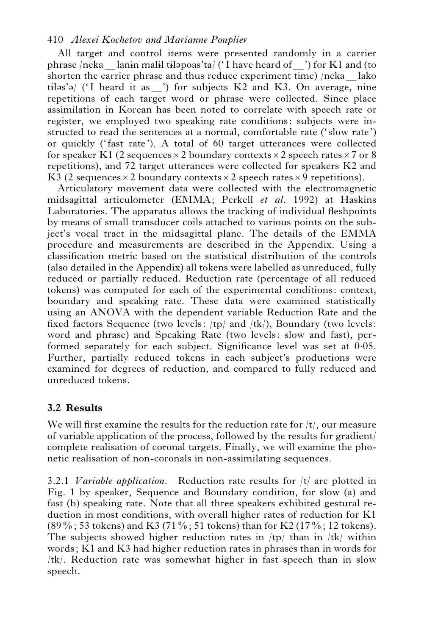All target and control items were presented randomly in a carrier phrase /neka lanin malil tilapoas'ta/ ('I have heard of ) for K1 and (to shorten the carrier phrase and thus reduce experiment time) /neka lako  $tiləs'ə/$  ('I heard it as  $'$ ) for subjects K2 and K3. On average, nine repetitions of each target word or phrase were collected. Since place assimilation in Korean has been noted to correlate with speech rate or register, we employed two speaking rate conditions: subjects were instructed to read the sentences at a normal, comfortable rate ('slow rate') or quickly (' fast rate'). A total of 60 target utterances were collected for speaker K1 (2 sequences  $\times$  2 boundary contexts  $\times$  2 speech rates  $\times$  7 or 8 repetitions), and 72 target utterances were collected for speakers K2 and K3 (2 sequences  $\times$  2 boundary contexts  $\times$  2 speech rates  $\times$  9 repetitions).

Articulatory movement data were collected with the electromagnetic midsagittal articulometer (EMMA; Perkell *et al*. 1992) at Haskins Laboratories. The apparatus allows the tracking of individual fleshpoints by means of small transducer coils attached to various points on the subject's vocal tract in the midsagittal plane. The details of the EMMA procedure and measurements are described in the Appendix. Using a classification metric based on the statistical distribution of the controls (also detailed in the Appendix) all tokens were labelled as unreduced, fully reduced or partially reduced. Reduction rate (percentage of all reduced tokens) was computed for each of the experimental conditions: context, boundary and speaking rate. These data were examined statistically using an ANOVA with the dependent variable Reduction Rate and the fixed factors Sequence (two levels:  $(tp)$  and  $/tk$ ), Boundary (two levels: word and phrase) and Speaking Rate (two levels: slow and fast), performed separately for each subject. Significance level was set at 0.05. Further, partially reduced tokens in each subject's productions were examined for degrees of reduction, and compared to fully reduced and unreduced tokens.

## **3.2 Results**

We will first examine the results for the reduction rate for  $/t/$ , our measure of variable application of the process, followed by the results for gradient/ complete realisation of coronal targets. Finally, we will examine the phonetic realisation of non-coronals in non-assimilating sequences.

3.2.1 *Variable application.* Reduction rate results for /t/ are plotted in Fig. 1 by speaker, Sequence and Boundary condition, for slow (a) and fast (b) speaking rate. Note that all three speakers exhibited gestural reduction in most conditions, with overall higher rates of reduction for K1  $(89\%; 53 \text{ tokens})$  and K3 (71%; 51 tokens) than for K2 (17%; 12 tokens). The subjects showed higher reduction rates in  $(tp)$  than in  $/tk$  within words; K1 and K3 had higher reduction rates in phrases than in words for /tk/. Reduction rate was somewhat higher in fast speech than in slow speech.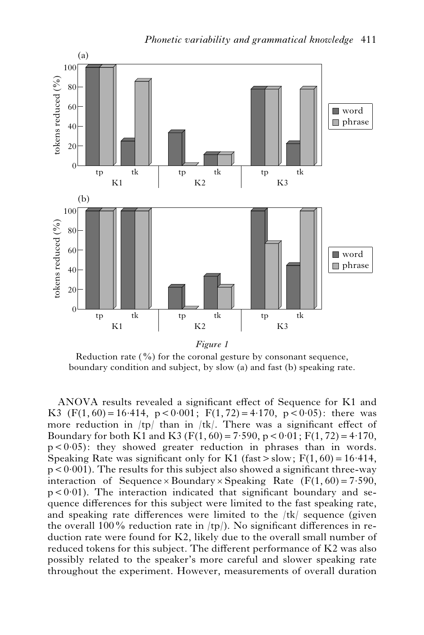

Reduction rate  $(\frac{9}{0})$  for the coronal gesture by consonant sequence,

boundary condition and subject, by slow (a) and fast (b) speaking rate.

ANOVA results revealed a significant effect of Sequence for K1 and K3 (F(1, 60) = 16.414, p < 0.001; F(1, 72) = 4.170, p < 0.05): there was more reduction in  $/tp$  than in  $/tk$ . There was a significant effect of Boundary for both K1 and K3 (F(1, 60) = 7.590, p < 0.01; F(1, 72) = 4.170,  $p < 0.05$ : they showed greater reduction in phrases than in words. Speaking Rate was significant only for K1 (fast  $>$  slow; F(1, 60) = 16.414,  $p < 0.001$ ). The results for this subject also showed a significant three-way interaction of Sequence  $\times$  Boundary  $\times$  Speaking Rate (F(1, 60) = 7.590,  $p < 0.01$ ). The interaction indicated that significant boundary and sequence differences for this subject were limited to the fast speaking rate, and speaking rate differences were limited to the  $/tk$  sequence (given the overall 100% reduction rate in  $(tp)$ . No significant differences in reduction rate were found for K2, likely due to the overall small number of reduced tokens for this subject. The different performance of K2 was also possibly related to the speaker's more careful and slower speaking rate throughout the experiment. However, measurements of overall duration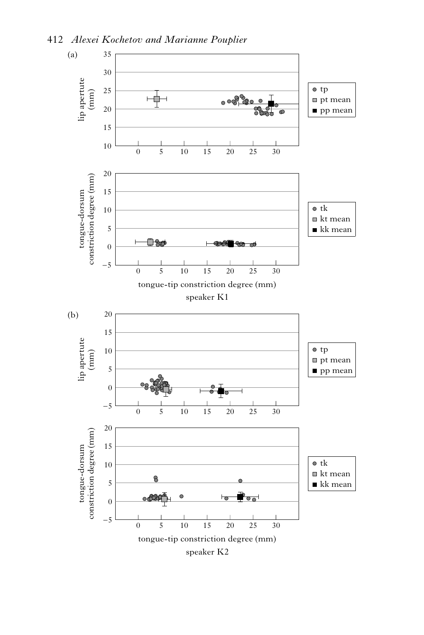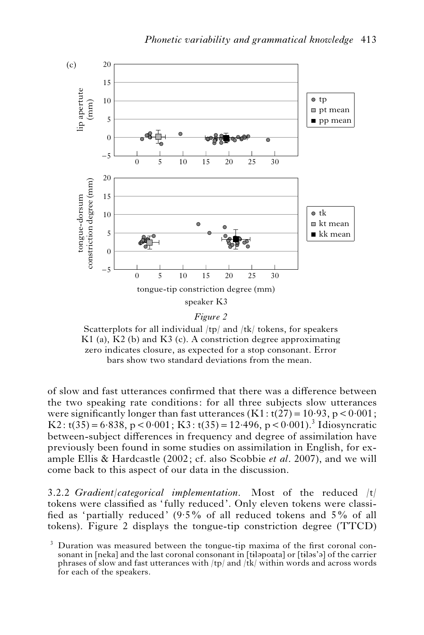

Scatterplots for all individual /tp/ and /tk/ tokens, for speakers K1 (a), K2 (b) and K3 (c). A constriction degree approximating zero indicates closure, as expected for a stop consonant. Error bars show two standard deviations from the mean.

of slow and fast utterances confirmed that there was a difference between the two speaking rate conditions: for all three subjects slow utterances were significantly longer than fast utterances  $(K1: t(27) = 10.93$ ,  $p < 0.001$ ; K2:  $t(35) = 6.838$ ,  $p < 0.001$ ; K3:  $t(35) = 12.496$ ,  $p < 0.001$ ).<sup>3</sup> Idiosyncratic between-subject differences in frequency and degree of assimilation have previously been found in some studies on assimilation in English, for example Ellis & Hardcastle (2002; cf. also Scobbie *et al*. 2007), and we will come back to this aspect of our data in the discussion.

3.2.2 *Gradient/categorical implementation.* Most of the reduced /t/ tokens were classified as ' fully reduced'. Only eleven tokens were classified as 'partially reduced' (9.5% of all reduced tokens and 5% of all tokens). Figure 2 displays the tongue-tip constriction degree (TTCD)

 $3$  Duration was measured between the tongue-tip maxima of the first coronal consonant in [neka] and the last coronal consonant in [tilapoata] or [tilas'a] of the carrier phrases of slow and fast utterances with /tp/ and /tk/ within words and across words for each of the speakers.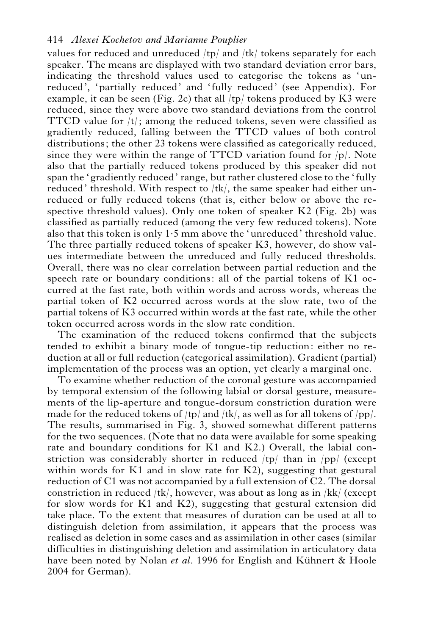values for reduced and unreduced /tp/ and /tk/ tokens separately for each speaker. The means are displayed with two standard deviation error bars, indicating the threshold values used to categorise the tokens as 'unreduced', 'partially reduced' and 'fully reduced' (see Appendix). For example, it can be seen (Fig. 2c) that all  $(tp)$  tokens produced by K3 were reduced, since they were above two standard deviations from the control TTCD value for  $|t|$ ; among the reduced tokens, seven were classified as gradiently reduced, falling between the TTCD values of both control distributions; the other 23 tokens were classified as categorically reduced, since they were within the range of TTCD variation found for  $|p|$ . Note also that the partially reduced tokens produced by this speaker did not span the 'gradiently reduced' range, but rather clustered close to the 'fully reduced' threshold. With respect to /tk/, the same speaker had either unreduced or fully reduced tokens (that is, either below or above the respective threshold values). Only one token of speaker K2 (Fig. 2b) was classified as partially reduced (among the very few reduced tokens). Note also that this token is only 1.5 mm above the 'unreduced' threshold value. The three partially reduced tokens of speaker K3, however, do show values intermediate between the unreduced and fully reduced thresholds. Overall, there was no clear correlation between partial reduction and the speech rate or boundary conditions: all of the partial tokens of K1 occurred at the fast rate, both within words and across words, whereas the partial token of K2 occurred across words at the slow rate, two of the partial tokens of K3 occurred within words at the fast rate, while the other token occurred across words in the slow rate condition.

The examination of the reduced tokens confirmed that the subjects tended to exhibit a binary mode of tongue-tip reduction: either no reduction at all or full reduction (categorical assimilation). Gradient (partial) implementation of the process was an option, yet clearly a marginal one.

To examine whether reduction of the coronal gesture was accompanied by temporal extension of the following labial or dorsal gesture, measurements of the lip-aperture and tongue-dorsum constriction duration were made for the reduced tokens of  $/tp/$  and  $/tk/$ , as well as for all tokens of  $/pp/$ . The results, summarised in Fig. 3, showed somewhat different patterns for the two sequences. (Note that no data were available for some speaking rate and boundary conditions for K1 and K2.) Overall, the labial constriction was considerably shorter in reduced /tp/ than in /pp/ (except within words for K1 and in slow rate for K2), suggesting that gestural reduction of C1 was not accompanied by a full extension of C2. The dorsal constriction in reduced /tk/, however, was about as long as in /kk/ (except for slow words for K1 and K2), suggesting that gestural extension did take place. To the extent that measures of duration can be used at all to distinguish deletion from assimilation, it appears that the process was realised as deletion in some cases and as assimilation in other cases (similar difficulties in distinguishing deletion and assimilation in articulatory data have been noted by Nolan *et al.* 1996 for English and Kühnert & Hoole 2004 for German).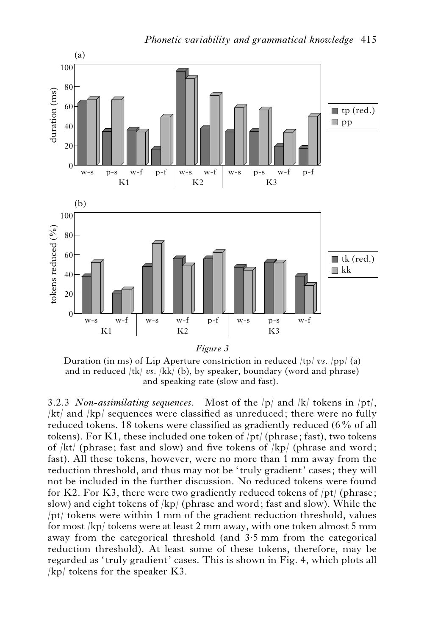

Duration (in ms) of Lip Aperture constriction in reduced /tp/ *vs*. /pp/ (a) and in reduced /tk/ *vs*. /kk/ (b), by speaker, boundary (word and phrase) and speaking rate (slow and fast).

3.2.3 *Non-assimilating sequences.* Most of the /p/ and /k/ tokens in /pt/, /kt/ and /kp/ sequences were classified as unreduced; there were no fully reduced tokens. 18 tokens were classified as gradiently reduced (6% of all tokens). For K1, these included one token of /pt/ (phrase; fast), two tokens of /kt/ (phrase; fast and slow) and five tokens of /kp/ (phrase and word; fast). All these tokens, however, were no more than 1 mm away from the reduction threshold, and thus may not be 'truly gradient' cases; they will not be included in the further discussion. No reduced tokens were found for K2. For K3, there were two gradiently reduced tokens of  $/pt/$  (phrase; slow) and eight tokens of /kp/ (phrase and word; fast and slow). While the /pt/ tokens were within 1 mm of the gradient reduction threshold, values for most /kp/ tokens were at least 2 mm away, with one token almost 5 mm away from the categorical threshold (and 3.5 mm from the categorical reduction threshold). At least some of these tokens, therefore, may be regarded as ' truly gradient' cases. This is shown in Fig. 4, which plots all /kp/ tokens for the speaker K3.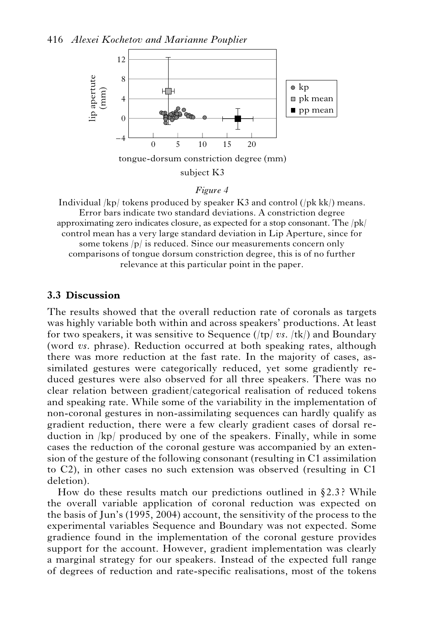

#### *Figure 4*

Individual  $|kp|$  tokens produced by speaker K3 and control  $(|pk kk|)$  means. Error bars indicate two standard deviations. A constriction degree approximating zero indicates closure, as expected for a stop consonant. The  $|pk|$ control mean has a very large standard deviation in Lip Aperture, since for some tokens /p/ is reduced. Since our measurements concern only comparisons of tongue dorsum constriction degree, this is of no further relevance at this particular point in the paper.

### **3.3 Discussion**

The results showed that the overall reduction rate of coronals as targets was highly variable both within and across speakers' productions. At least for two speakers, it was sensitive to Sequence (/tp/ *vs*. /tk/) and Boundary (word *vs*. phrase). Reduction occurred at both speaking rates, although there was more reduction at the fast rate. In the majority of cases, assimilated gestures were categorically reduced, yet some gradiently reduced gestures were also observed for all three speakers. There was no clear relation between gradient/categorical realisation of reduced tokens and speaking rate. While some of the variability in the implementation of non-coronal gestures in non-assimilating sequences can hardly qualify as gradient reduction, there were a few clearly gradient cases of dorsal reduction in /kp/ produced by one of the speakers. Finally, while in some cases the reduction of the coronal gesture was accompanied by an extension of the gesture of the following consonant (resulting in C1 assimilation to C2), in other cases no such extension was observed (resulting in C1 deletion).

How do these results match our predictions outlined in  $\S 2.3$ ? While the overall variable application of coronal reduction was expected on the basis of Jun's (1995, 2004) account, the sensitivity of the process to the experimental variables Sequence and Boundary was not expected. Some gradience found in the implementation of the coronal gesture provides support for the account. However, gradient implementation was clearly a marginal strategy for our speakers. Instead of the expected full range of degrees of reduction and rate-specific realisations, most of the tokens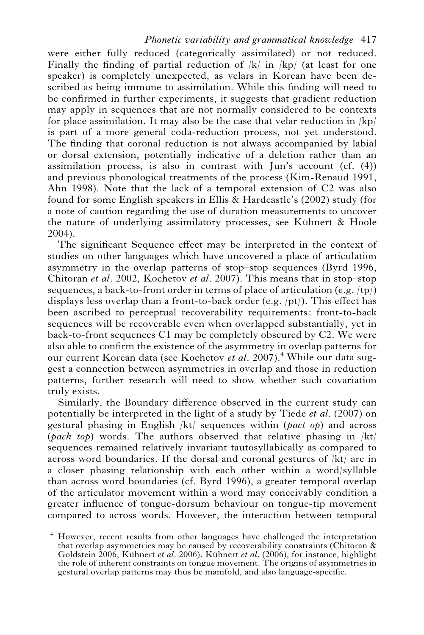were either fully reduced (categorically assimilated) or not reduced. Finally the finding of partial reduction of  $|k|$  in  $|kp|$  (at least for one speaker) is completely unexpected, as velars in Korean have been described as being immune to assimilation. While this finding will need to be confirmed in further experiments, it suggests that gradient reduction may apply in sequences that are not normally considered to be contexts for place assimilation. It may also be the case that velar reduction in /kp/ is part of a more general coda-reduction process, not yet understood. The finding that coronal reduction is not always accompanied by labial or dorsal extension, potentially indicative of a deletion rather than an assimilation process, is also in contrast with Jun's account (cf. (4)) and previous phonological treatments of the process (Kim-Renaud 1991, Ahn 1998). Note that the lack of a temporal extension of C2 was also found for some English speakers in Ellis & Hardcastle's (2002) study (for a note of caution regarding the use of duration measurements to uncover the nature of underlying assimilatory processes, see Kühnert  $&$  Hoole 2004).

The significant Sequence effect may be interpreted in the context of studies on other languages which have uncovered a place of articulation asymmetry in the overlap patterns of stop–stop sequences (Byrd 1996, Chitoran *et al*. 2002, Kochetov *et al*. 2007). This means that in stop–stop sequences, a back-to-front order in terms of place of articulation (e.g.  $\langle tp \rangle$ ) displays less overlap than a front-to-back order (e.g.  $\vert pt \rangle$ ). This effect has been ascribed to perceptual recoverability requirements: front-to-back sequences will be recoverable even when overlapped substantially, yet in back-to-front sequences C1 may be completely obscured by C2. We were also able to confirm the existence of the asymmetry in overlap patterns for our current Korean data (see Kochetov *et al*. 2007).4 While our data suggest a connection between asymmetries in overlap and those in reduction patterns, further research will need to show whether such covariation truly exists.

Similarly, the Boundary difference observed in the current study can potentially be interpreted in the light of a study by Tiede *et al*. (2007) on gestural phasing in English /kt/ sequences within (*pact op*) and across (*pack top*) words. The authors observed that relative phasing in /kt/ sequences remained relatively invariant tautosyllabically as compared to across word boundaries. If the dorsal and coronal gestures of /kt/ are in a closer phasing relationship with each other within a word/syllable than across word boundaries (cf. Byrd 1996), a greater temporal overlap of the articulator movement within a word may conceivably condition a greater influence of tongue-dorsum behaviour on tongue-tip movement compared to across words. However, the interaction between temporal

<sup>4</sup> However, recent results from other languages have challenged the interpretation that overlap asymmetries may be caused by recoverability constraints (Chitoran  $\&$ Goldstein 2006, Kühnert *et al.* 2006). Kühnert *et al.* (2006), for instance, highlight the role of inherent constraints on tongue movement. The origins of asymmetries in gestural overlap patterns may thus be manifold, and also language-specific.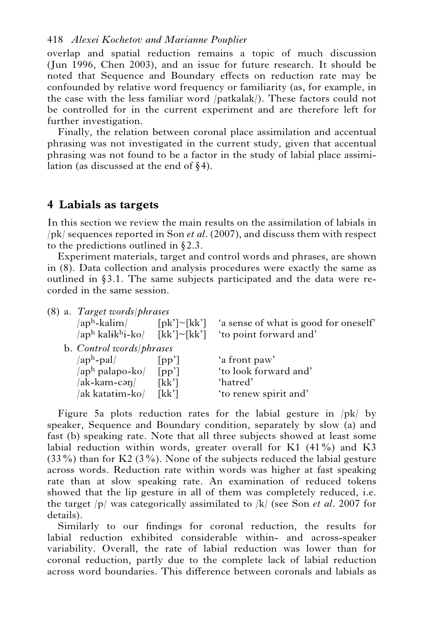overlap and spatial reduction remains a topic of much discussion (Jun 1996, Chen 2003), and an issue for future research. It should be noted that Sequence and Boundary effects on reduction rate may be confounded by relative word frequency or familiarity (as, for example, in the case with the less familiar word /patkalak/). These factors could not be controlled for in the current experiment and are therefore left for further investigation.

Finally, the relation between coronal place assimilation and accentual phrasing was not investigated in the current study, given that accentual phrasing was not found to be a factor in the study of labial place assimilation (as discussed at the end of  $\S 4$ ).

## **4 Labials as targets**

In this section we review the main results on the assimilation of labials in /pk/ sequences reported in Son *et al*. (2007), and discuss them with respect to the predictions outlined in  $\S 2.3$ .

Experiment materials, target and control words and phrases, are shown in (8). Data collection and analysis procedures were exactly the same as outlined in  $\S 3.1$ . The same subjects participated and the data were recorded in the same session.

|  |  |  |  | (8) a. Target words/phrases |
|--|--|--|--|-----------------------------|
|--|--|--|--|-----------------------------|

| /ap <sup>h</sup> -kalim/<br>$\sqrt{ap^h kali k^h i-ko}$ $\lceil kk'\rceil \sim \lceil kk'\rceil$ | $\lceil \mathrm{pk'} \rceil$ $\sim$ $\lceil \mathrm{kk'} \rceil$ | 'a sense of what is good for oneself'<br>'to point forward and' |
|--------------------------------------------------------------------------------------------------|------------------------------------------------------------------|-----------------------------------------------------------------|
| b. Control words/phrases                                                                         |                                                                  |                                                                 |
| /aph-pal/                                                                                        | [pp']                                                            | 'a front paw'                                                   |
| /ap <sup>h</sup> palapo-ko/                                                                      | [pp']                                                            | 'to look forward and'                                           |
| /ak-kam-cən/                                                                                     | [kk']                                                            | 'hatred'                                                        |
| ak katat <del>i</del> m-ko/                                                                      | [kk']                                                            | 'to renew spirit and'                                           |
|                                                                                                  |                                                                  |                                                                 |

Figure 5a plots reduction rates for the labial gesture in /pk/ by speaker, Sequence and Boundary condition, separately by slow (a) and fast (b) speaking rate. Note that all three subjects showed at least some labial reduction within words, greater overall for K1 (41%) and K3  $(33\%)$  than for K2  $(3\%)$ . None of the subjects reduced the labial gesture across words. Reduction rate within words was higher at fast speaking rate than at slow speaking rate. An examination of reduced tokens showed that the lip gesture in all of them was completely reduced, i.e. the target /p/ was categorically assimilated to /k/ (see Son *et al*. 2007 for details).

Similarly to our findings for coronal reduction, the results for labial reduction exhibited considerable within- and across-speaker variability. Overall, the rate of labial reduction was lower than for coronal reduction, partly due to the complete lack of labial reduction across word boundaries. This difference between coronals and labials as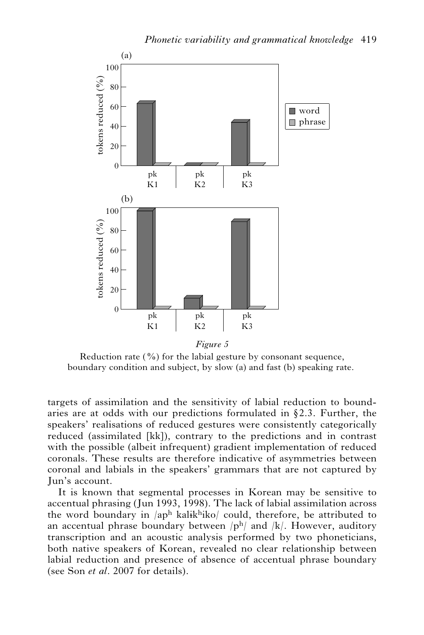

Reduction rate  $(\frac{9}{0})$  for the labial gesture by consonant sequence, boundary condition and subject, by slow (a) and fast (b) speaking rate.

targets of assimilation and the sensitivity of labial reduction to boundaries are at odds with our predictions formulated in  $\S 2.3$ . Further, the speakers' realisations of reduced gestures were consistently categorically reduced (assimilated [kk]), contrary to the predictions and in contrast with the possible (albeit infrequent) gradient implementation of reduced coronals. These results are therefore indicative of asymmetries between coronal and labials in the speakers' grammars that are not captured by Jun's account.

It is known that segmental processes in Korean may be sensitive to accentual phrasing (Jun 1993, 1998). The lack of labial assimilation across the word boundary in  $\langle ap^h \hat{k} \rangle$  kalikhiko could, therefore, be attributed to an accentual phrase boundary between  $|p<sup>h</sup>|\rangle$  and  $|k|$ . However, auditory transcription and an acoustic analysis performed by two phoneticians, both native speakers of Korean, revealed no clear relationship between labial reduction and presence of absence of accentual phrase boundary (see Son *et al*. 2007 for details).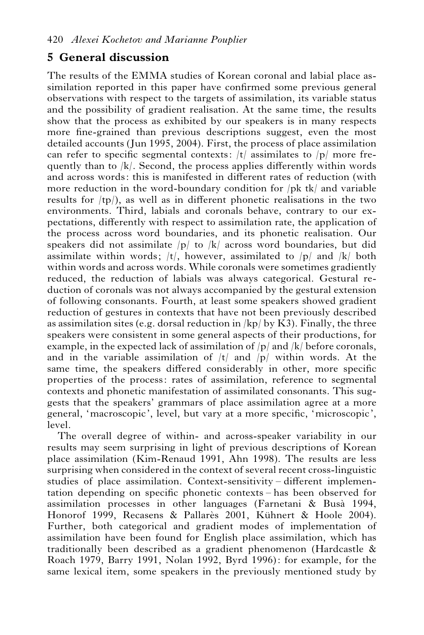## **5 General discussion**

The results of the EMMA studies of Korean coronal and labial place assimilation reported in this paper have confirmed some previous general observations with respect to the targets of assimilation, its variable status and the possibility of gradient realisation. At the same time, the results show that the process as exhibited by our speakers is in many respects more fine-grained than previous descriptions suggest, even the most detailed accounts (Jun 1995, 2004). First, the process of place assimilation can refer to specific segmental contexts:  $|t|$  assimilates to  $|p|$  more frequently than to  $|k|$ . Second, the process applies differently within words and across words: this is manifested in different rates of reduction (with more reduction in the word-boundary condition for /pk tk/ and variable results for  $(tp)$ , as well as in different phonetic realisations in the two environments. Third, labials and coronals behave, contrary to our expectations, differently with respect to assimilation rate, the application of the process across word boundaries, and its phonetic realisation. Our speakers did not assimilate  $|p|$  to  $|k|$  across word boundaries, but did assimilate within words;  $/t/$ , however, assimilated to  $/p/$  and  $/k/$  both within words and across words. While coronals were sometimes gradiently reduced, the reduction of labials was always categorical. Gestural reduction of coronals was not always accompanied by the gestural extension of following consonants. Fourth, at least some speakers showed gradient reduction of gestures in contexts that have not been previously described as assimilation sites (e.g. dorsal reduction in  $|kp|$  by K3). Finally, the three speakers were consistent in some general aspects of their productions, for example, in the expected lack of assimilation of  $|p|$  and  $|k|$  before coronals, and in the variable assimilation of  $|t|$  and  $|p|$  within words. At the same time, the speakers differed considerably in other, more specific properties of the process: rates of assimilation, reference to segmental contexts and phonetic manifestation of assimilated consonants. This suggests that the speakers' grammars of place assimilation agree at a more general, 'macroscopic', level, but vary at a more specific, 'microscopic', level.

The overall degree of within- and across-speaker variability in our results may seem surprising in light of previous descriptions of Korean place assimilation (Kim-Renaud 1991, Ahn 1998). The results are less surprising when considered in the context of several recent cross-linguistic studies of place assimilation. Context-sensitivity – different implementation depending on specific phonetic contexts – has been observed for assimilation processes in other languages (Farnetani & Busa` 1994, Honorof 1999, Recasens & Pallarès 2001, Kühnert & Hoole 2004). Further, both categorical and gradient modes of implementation of assimilation have been found for English place assimilation, which has traditionally been described as a gradient phenomenon (Hardcastle & Roach 1979, Barry 1991, Nolan 1992, Byrd 1996): for example, for the same lexical item, some speakers in the previously mentioned study by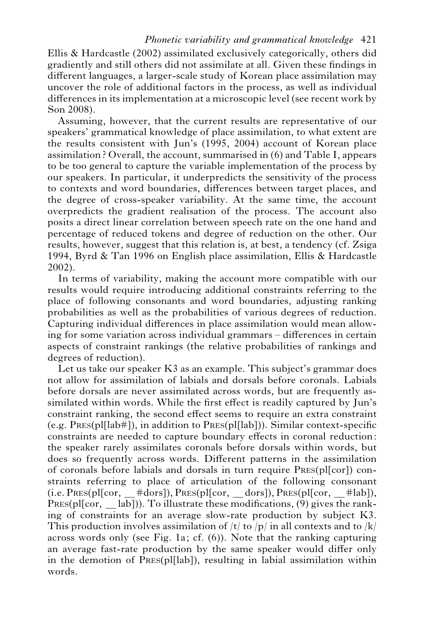Ellis & Hardcastle (2002) assimilated exclusively categorically, others did gradiently and still others did not assimilate at all. Given these findings in different languages, a larger-scale study of Korean place assimilation may uncover the role of additional factors in the process, as well as individual differences in its implementation at a microscopic level (see recent work by Son 2008).

Assuming, however, that the current results are representative of our speakers' grammatical knowledge of place assimilation, to what extent are the results consistent with Jun's (1995, 2004) account of Korean place assimilation ? Overall, the account, summarised in (6) and Table I, appears to be too general to capture the variable implementation of the process by our speakers. In particular, it underpredicts the sensitivity of the process to contexts and word boundaries, differences between target places, and the degree of cross-speaker variability. At the same time, the account overpredicts the gradient realisation of the process. The account also posits a direct linear correlation between speech rate on the one hand and percentage of reduced tokens and degree of reduction on the other. Our results, however, suggest that this relation is, at best, a tendency (cf. Zsiga 1994, Byrd & Tan 1996 on English place assimilation, Ellis & Hardcastle 2002).

In terms of variability, making the account more compatible with our results would require introducing additional constraints referring to the place of following consonants and word boundaries, adjusting ranking probabilities as well as the probabilities of various degrees of reduction. Capturing individual differences in place assimilation would mean allowing for some variation across individual grammars – differences in certain aspects of constraint rankings (the relative probabilities of rankings and degrees of reduction).

Let us take our speaker K3 as an example. This subject's grammar does not allow for assimilation of labials and dorsals before coronals. Labials before dorsals are never assimilated across words, but are frequently assimilated within words. While the first effect is readily captured by Jun's constraint ranking, the second effect seems to require an extra constraint (e.g. PRES(pl[lab#]), in addition to PRES(pl[lab])). Similar context-specific constraints are needed to capture boundary effects in coronal reduction: the speaker rarely assimilates coronals before dorsals within words, but does so frequently across words. Different patterns in the assimilation of coronals before labials and dorsals in turn require PRES(pl[cor]) constraints referring to place of articulation of the following consonant  $(i.e. PREs(pI[cor, \_\#dors]), PREs(pI[cor, \_\ dors]), PREs(pI[cor, \_\#lab]),$  $PRES(pI[cor, \quad lab])$ . To illustrate these modifications, (9) gives the ranking of constraints for an average slow-rate production by subject K3. This production involves assimilation of  $|t|$  to  $|p|$  in all contexts and to  $|k|$ across words only (see Fig. 1a; cf. (6)). Note that the ranking capturing an average fast-rate production by the same speaker would differ only in the demotion of PRES(pl[lab]), resulting in labial assimilation within words.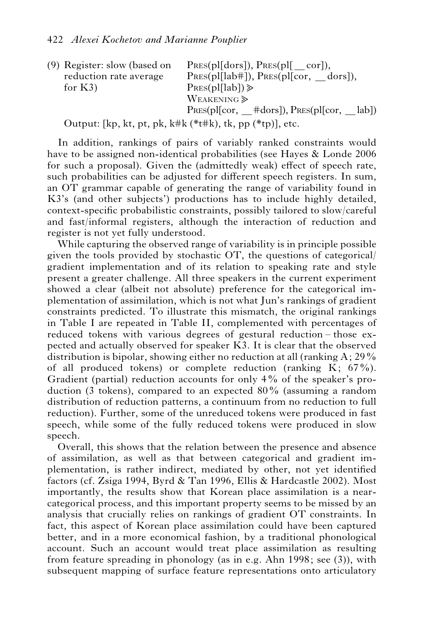(9) Register: slow (based on reduction rate average for K3)  $PRES(p1[dors]), PRES(p1[cor]),$ PRES(pl[lab#]), PRES(pl[cor, \_dors]),  $P$ <sub>RES</sub> $(pl[lab])$  $\geq$ WEAKENING<sup>></sup>  $PRES(pI[cor, #dors]), PRES(pI[cor, lab])$ 

Output: [kp, kt, pt, pk, k#k (\*t#k), tk, pp (\*tp)], etc.

In addition, rankings of pairs of variably ranked constraints would have to be assigned non-identical probabilities (see Hayes & Londe 2006 for such a proposal). Given the (admittedly weak) effect of speech rate, such probabilities can be adjusted for different speech registers. In sum, an OT grammar capable of generating the range of variability found in K3's (and other subjects') productions has to include highly detailed, context-specific probabilistic constraints, possibly tailored to slow/careful and fast/informal registers, although the interaction of reduction and register is not yet fully understood.

While capturing the observed range of variability is in principle possible given the tools provided by stochastic OT, the questions of categorical/ gradient implementation and of its relation to speaking rate and style present a greater challenge. All three speakers in the current experiment showed a clear (albeit not absolute) preference for the categorical implementation of assimilation, which is not what Jun's rankings of gradient constraints predicted. To illustrate this mismatch, the original rankings in Table I are repeated in Table II, complemented with percentages of reduced tokens with various degrees of gestural reduction – those expected and actually observed for speaker K3. It is clear that the observed distribution is bipolar, showing either no reduction at all (ranking  $A: 29\%$ ) of all produced tokens) or complete reduction (ranking  $K$ ; 67%). Gradient (partial) reduction accounts for only 4% of the speaker's production (3 tokens), compared to an expected  $80\%$  (assuming a random distribution of reduction patterns, a continuum from no reduction to full reduction). Further, some of the unreduced tokens were produced in fast speech, while some of the fully reduced tokens were produced in slow speech.

Overall, this shows that the relation between the presence and absence of assimilation, as well as that between categorical and gradient implementation, is rather indirect, mediated by other, not yet identified factors (cf. Zsiga 1994, Byrd & Tan 1996, Ellis & Hardcastle 2002). Most importantly, the results show that Korean place assimilation is a nearcategorical process, and this important property seems to be missed by an analysis that crucially relies on rankings of gradient OT constraints. In fact, this aspect of Korean place assimilation could have been captured better, and in a more economical fashion, by a traditional phonological account. Such an account would treat place assimilation as resulting from feature spreading in phonology (as in e.g. Ahn 1998; see (3)), with subsequent mapping of surface feature representations onto articulatory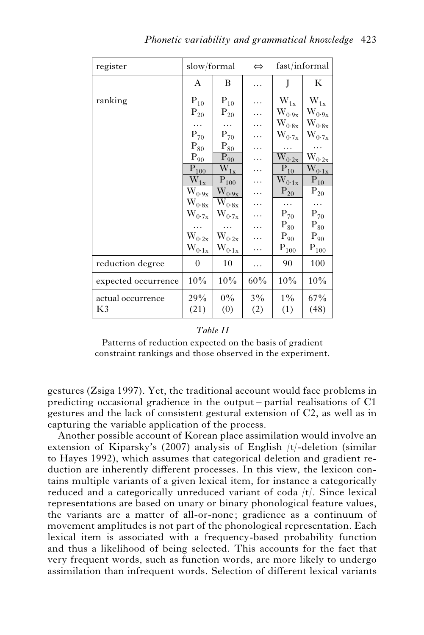| register            | slow/formal                                          |                                    | $\Leftrightarrow$ | fast/informal                         |                                                                      |
|---------------------|------------------------------------------------------|------------------------------------|-------------------|---------------------------------------|----------------------------------------------------------------------|
|                     | A                                                    | В                                  | .                 | J                                     | К                                                                    |
| ranking             | $\mathbf{P}_{10}$                                    | $P_{10}$                           |                   | $\rm W_{1x}$                          | $\rm W_{1x}$                                                         |
|                     | $\mathbf{P}_{20}$                                    | $P_{20}$                           | .                 | $\rm W_{0\cdot 9x}$                   | $W_{0\cdot 9x}$                                                      |
|                     | .                                                    | .                                  | .                 | $\rm W_{0^-8x}$                       | $\rm W_{0\cdot 8x}$                                                  |
|                     | $\mathrm{P}_{70}$                                    | $\mathrm{P}_{70}$                  | .                 | $\rm W_{0\cdot7x}$                    | $\rm W_{0\cdot7x}$                                                   |
|                     | $\mathrm{P}_{80}$                                    | $\mathrm{P}_{8\underline{0}}$      | .                 | .                                     | .                                                                    |
|                     | $\mathbf{P}_{\underline{90}}$                        | $P_{90}$                           | .                 | $\overline{W}_{0\cdot 2x}$            | $W_{\underline{0\cdot 2x}}$                                          |
|                     | $P_{100}$                                            | $\rm \overline{W}_{1x}$            | .                 | $P_{10}$                              | $\overline{\mathrm{W}}_{\underline{0}\cdot \underline{1}\mathrm{x}}$ |
|                     | $\bar{\text{W}}_{\underline{1}\underline{\text{x}}}$ | $P_{100}$                          | .                 | $\rm \overline{W}_{0:\underline{1x}}$ | $\overline{\mathrm{P}_{10}}$                                         |
|                     | $\mathbf{\bar{W}_{0\cdot 9x}}$                       | $\rm \overline{W_{0\cdot 9x}}$     | .                 | $\overline{P_{20}}$                   | $\overline{P}_{20}$                                                  |
|                     | $\rm W_{0\cdot 8x}$                                  | $\rm\bar{W}_{0.8x}$                | .                 |                                       | .                                                                    |
|                     | $\rm W_{0\cdot7x}$                                   | $\rm W_{0\cdot7x}$                 | .                 | $P_{70}$                              | $P_{70}$                                                             |
|                     |                                                      |                                    | .                 | $\mathrm{P}_{80}$                     | $\mathrm{P}_{80}$                                                    |
|                     | $W_{0\cdot 2x}$                                      | $\rm W_{0\cdot2x}$                 | .                 | $P_{90}$                              | $\mathrm{P}_{90}$                                                    |
|                     | $\rm W_{0:1x}$                                       | $\mathbf{W}_{0\cdot 1 \mathbf{x}}$ | .                 | $\mathbf{P}_{100}$                    | $\mathbf{P}_{100}$                                                   |
| reduction degree    | $\overline{0}$                                       | 10                                 | .                 | 90                                    | 100                                                                  |
| expected occurrence | 10%                                                  | 10%                                | 60%               | 10%                                   | 10%                                                                  |
| actual occurrence   | 29%                                                  | $0\%$                              | $3\%$             | $1\%$                                 | 67%                                                                  |
| K3                  | (21)                                                 | (0)                                | (2)               | (1)                                   | (48)                                                                 |

#### *Table II*

(2)

(1)

Patterns of reduction expected on the basis of gradient constraint rankings and those observed in the experiment.

gestures (Zsiga 1997). Yet, the traditional account would face problems in predicting occasional gradience in the output – partial realisations of C1 gestures and the lack of consistent gestural extension of C2, as well as in capturing the variable application of the process.

Another possible account of Korean place assimilation would involve an extension of Kiparsky's (2007) analysis of English /t/-deletion (similar to Hayes 1992), which assumes that categorical deletion and gradient reduction are inherently different processes. In this view, the lexicon contains multiple variants of a given lexical item, for instance a categorically reduced and a categorically unreduced variant of coda /t/. Since lexical representations are based on unary or binary phonological feature values, the variants are a matter of all-or-none; gradience as a continuum of movement amplitudes is not part of the phonological representation. Each lexical item is associated with a frequency-based probability function and thus a likelihood of being selected. This accounts for the fact that very frequent words, such as function words, are more likely to undergo assimilation than infrequent words. Selection of different lexical variants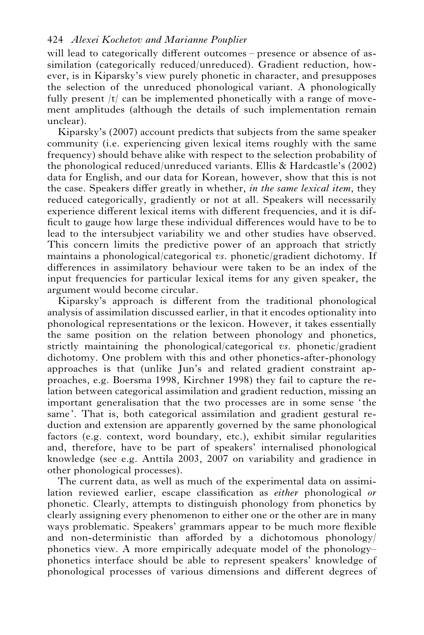will lead to categorically different outcomes – presence or absence of assimilation (categorically reduced/unreduced). Gradient reduction, however, is in Kiparsky's view purely phonetic in character, and presupposes the selection of the unreduced phonological variant. A phonologically fully present  $|t|$  can be implemented phonetically with a range of movement amplitudes (although the details of such implementation remain unclear).

Kiparsky's (2007) account predicts that subjects from the same speaker community (i.e. experiencing given lexical items roughly with the same frequency) should behave alike with respect to the selection probability of the phonological reduced/unreduced variants. Ellis & Hardcastle's (2002) data for English, and our data for Korean, however, show that this is not the case. Speakers differ greatly in whether, *in the same lexical item*, they reduced categorically, gradiently or not at all. Speakers will necessarily experience different lexical items with different frequencies, and it is difficult to gauge how large these individual differences would have to be to lead to the intersubject variability we and other studies have observed. This concern limits the predictive power of an approach that strictly maintains a phonological/categorical *vs*. phonetic/gradient dichotomy. If differences in assimilatory behaviour were taken to be an index of the input frequencies for particular lexical items for any given speaker, the argument would become circular.

Kiparsky's approach is different from the traditional phonological analysis of assimilation discussed earlier, in that it encodes optionality into phonological representations or the lexicon. However, it takes essentially the same position on the relation between phonology and phonetics, strictly maintaining the phonological/categorical *vs*. phonetic/gradient dichotomy. One problem with this and other phonetics-after-phonology approaches is that (unlike Jun's and related gradient constraint approaches, e.g. Boersma 1998, Kirchner 1998) they fail to capture the relation between categorical assimilation and gradient reduction, missing an important generalisation that the two processes are in some sense ' the same'. That is, both categorical assimilation and gradient gestural reduction and extension are apparently governed by the same phonological factors (e.g. context, word boundary, etc.), exhibit similar regularities and, therefore, have to be part of speakers' internalised phonological knowledge (see e.g. Anttila 2003, 2007 on variability and gradience in other phonological processes).

The current data, as well as much of the experimental data on assimilation reviewed earlier, escape classification as *either* phonological *or* phonetic. Clearly, attempts to distinguish phonology from phonetics by clearly assigning every phenomenon to either one or the other are in many ways problematic. Speakers' grammars appear to be much more flexible and non-deterministic than afforded by a dichotomous phonology/ phonetics view. A more empirically adequate model of the phonology– phonetics interface should be able to represent speakers' knowledge of phonological processes of various dimensions and different degrees of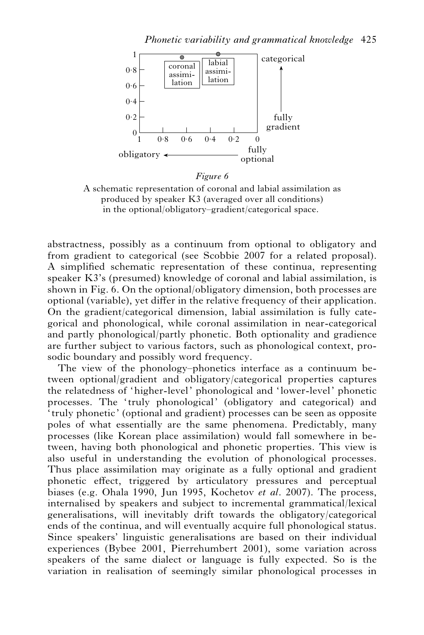

#### *Figure 6*

A schematic representation of coronal and labial assimilation as produced by speaker K3 (averaged over all conditions) in the optional/obligatory–gradient/categorical space.

abstractness, possibly as a continuum from optional to obligatory and from gradient to categorical (see Scobbie 2007 for a related proposal). A simplified schematic representation of these continua, representing speaker K3's (presumed) knowledge of coronal and labial assimilation, is shown in Fig. 6. On the optional/obligatory dimension, both processes are optional (variable), yet differ in the relative frequency of their application. On the gradient/categorical dimension, labial assimilation is fully categorical and phonological, while coronal assimilation in near-categorical and partly phonological/partly phonetic. Both optionality and gradience are further subject to various factors, such as phonological context, prosodic boundary and possibly word frequency.

The view of the phonology–phonetics interface as a continuum between optional/gradient and obligatory/categorical properties captures the relatedness of 'higher-level' phonological and 'lower-level' phonetic processes. The 'truly phonological' (obligatory and categorical) and ' truly phonetic' (optional and gradient) processes can be seen as opposite poles of what essentially are the same phenomena. Predictably, many processes (like Korean place assimilation) would fall somewhere in between, having both phonological and phonetic properties. This view is also useful in understanding the evolution of phonological processes. Thus place assimilation may originate as a fully optional and gradient phonetic effect, triggered by articulatory pressures and perceptual biases (e.g. Ohala 1990, Jun 1995, Kochetov *et al*. 2007). The process, internalised by speakers and subject to incremental grammatical/lexical generalisations, will inevitably drift towards the obligatory/categorical ends of the continua, and will eventually acquire full phonological status. Since speakers' linguistic generalisations are based on their individual experiences (Bybee 2001, Pierrehumbert 2001), some variation across speakers of the same dialect or language is fully expected. So is the variation in realisation of seemingly similar phonological processes in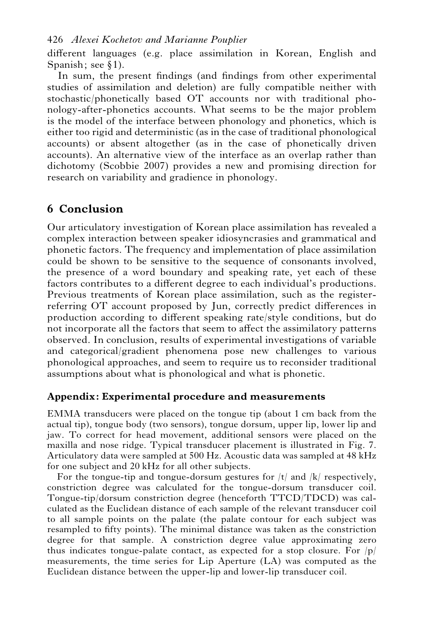different languages (e.g. place assimilation in Korean, English and Spanish; see  $\S$ 1).

In sum, the present findings (and findings from other experimental studies of assimilation and deletion) are fully compatible neither with stochastic/phonetically based OT accounts nor with traditional phonology-after-phonetics accounts. What seems to be the major problem is the model of the interface between phonology and phonetics, which is either too rigid and deterministic (as in the case of traditional phonological accounts) or absent altogether (as in the case of phonetically driven accounts). An alternative view of the interface as an overlap rather than dichotomy (Scobbie 2007) provides a new and promising direction for research on variability and gradience in phonology.

## **6 Conclusion**

Our articulatory investigation of Korean place assimilation has revealed a complex interaction between speaker idiosyncrasies and grammatical and phonetic factors. The frequency and implementation of place assimilation could be shown to be sensitive to the sequence of consonants involved, the presence of a word boundary and speaking rate, yet each of these factors contributes to a different degree to each individual's productions. Previous treatments of Korean place assimilation, such as the registerreferring OT account proposed by Jun, correctly predict differences in production according to different speaking rate/style conditions, but do not incorporate all the factors that seem to affect the assimilatory patterns observed. In conclusion, results of experimental investigations of variable and categorical/gradient phenomena pose new challenges to various phonological approaches, and seem to require us to reconsider traditional assumptions about what is phonological and what is phonetic.

## **Appendix: Experimental procedure and measurements**

EMMA transducers were placed on the tongue tip (about 1 cm back from the actual tip), tongue body (two sensors), tongue dorsum, upper lip, lower lip and jaw. To correct for head movement, additional sensors were placed on the maxilla and nose ridge. Typical transducer placement is illustrated in Fig. 7. Articulatory data were sampled at 500 Hz. Acoustic data was sampled at 48 kHz for one subject and 20 kHz for all other subjects.

For the tongue-tip and tongue-dorsum gestures for  $|t|$  and  $|k|$  respectively, constriction degree was calculated for the tongue-dorsum transducer coil. Tongue-tip/dorsum constriction degree (henceforth TTCD/TDCD) was calculated as the Euclidean distance of each sample of the relevant transducer coil to all sample points on the palate (the palate contour for each subject was resampled to fifty points). The minimal distance was taken as the constriction degree for that sample. A constriction degree value approximating zero thus indicates tongue-palate contact, as expected for a stop closure. For  $|p|$ measurements, the time series for Lip Aperture (LA) was computed as the Euclidean distance between the upper-lip and lower-lip transducer coil.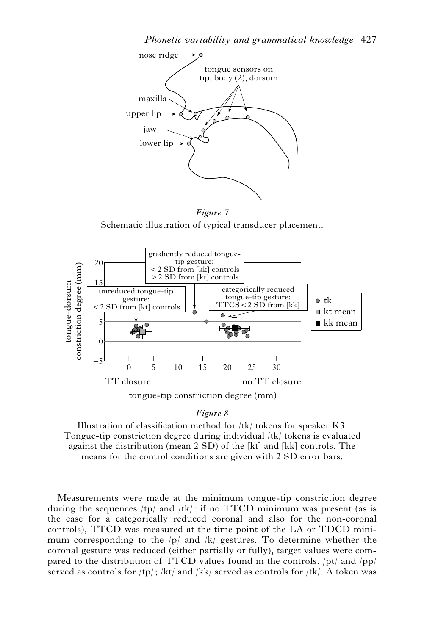

*Figure 7* Schematic illustration of typical transducer placement.



#### *Figure 8*

Illustration of classification method for /tk/ tokens for speaker K3. Tongue-tip constriction degree during individual /tk/ tokens is evaluated against the distribution (mean 2 SD) of the [kt] and [kk] controls. The means for the control conditions are given with 2 SD error bars.

Measurements were made at the minimum tongue-tip constriction degree during the sequences  $/tp/$  and  $/tk/$ : if no TTCD minimum was present (as is the case for a categorically reduced coronal and also for the non-coronal controls), TTCD was measured at the time point of the LA or TDCD minimum corresponding to the  $|p|$  and  $|k|$  gestures. To determine whether the coronal gesture was reduced (either partially or fully), target values were compared to the distribution of TTCD values found in the controls. /pt/ and /pp/ served as controls for  $\langle tp \rangle$ ;  $\langle kt \rangle$  and  $\langle kk \rangle$  served as controls for  $\langle tk \rangle$ . A token was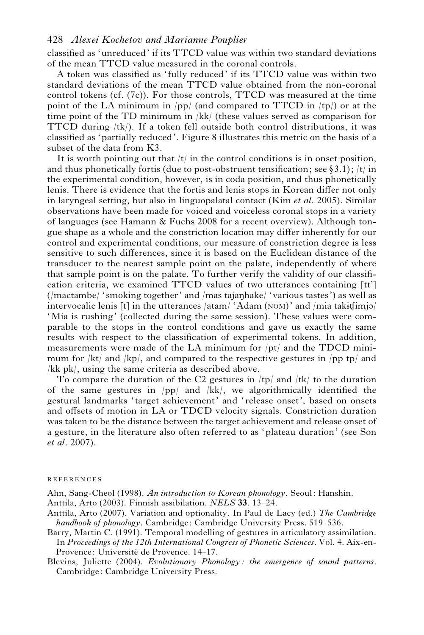classified as 'unreduced' if its TTCD value was within two standard deviations of the mean TTCD value measured in the coronal controls.

A token was classified as ' fully reduced' if its TTCD value was within two standard deviations of the mean TTCD value obtained from the non-coronal control tokens (cf. (7c)). For those controls, TTCD was measured at the time point of the LA minimum in /pp/ (and compared to TTCD in /tp/) or at the time point of the TD minimum in /kk/ (these values served as comparison for TTCD during  $\langle t\mathbf{k}\rangle$ . If a token fell outside both control distributions, it was classified as 'partially reduced'. Figure 8 illustrates this metric on the basis of a subset of the data from K3.

It is worth pointing out that  $|t|$  in the control conditions is in onset position, and thus phonetically fortis (due to post-obstruent tensification; see §3.1); /t/ in the experimental condition, however, is in coda position, and thus phonetically lenis. There is evidence that the fortis and lenis stops in Korean differ not only in laryngeal setting, but also in linguopalatal contact (Kim *et al*. 2005). Similar observations have been made for voiced and voiceless coronal stops in a variety of languages (see Hamann & Fuchs 2008 for a recent overview). Although tongue shape as a whole and the constriction location may differ inherently for our control and experimental conditions, our measure of constriction degree is less sensitive to such differences, since it is based on the Euclidean distance of the transducer to the nearest sample point on the palate, independently of where that sample point is on the palate. To further verify the validity of our classification criteria, we examined TTCD values of two utterances containing [tt'] (/mactambe/ 'smoking together' and /mas tajaŋhake/ 'various tastes') as well as intervocalic lenis [t] in the utterances  $\frac{1}{4}$  (atam (NOM) and  $\frac{1}{1}$  mia take  $\frac{1}{1}$ 'Mia is rushing' (collected during the same session). These values were comparable to the stops in the control conditions and gave us exactly the same results with respect to the classification of experimental tokens. In addition, measurements were made of the LA minimum for  $/pt/$  and the TDCD minimum for  $/kt/$  and  $/kp/$ , and compared to the respective gestures in  $/pp$  tp/ and /kk pk/, using the same criteria as described above.

To compare the duration of the C2 gestures in  $\langle \text{tp} \rangle$  and  $\langle \text{tk} \rangle$  to the duration of the same gestures in  $(pp/$  and  $/kk/$ , we algorithmically identified the gestural landmarks ' target achievement' and 'release onset', based on onsets and offsets of motion in LA or TDCD velocity signals. Constriction duration was taken to be the distance between the target achievement and release onset of a gesture, in the literature also often referred to as 'plateau duration' (see Son *et al*. 2007).

#### REFERENCES

Ahn, Sang-Cheol (1998). *An introduction to Korean phonology*. Seoul: Hanshin.

- Anttila, Arto (2003). Finnish assibilation. *NELS* **33**. 13–24.
- Anttila, Arto (2007). Variation and optionality. In Paul de Lacy (ed.) *The Cambridge handbook of phonology*. Cambridge: Cambridge University Press. 519–536.
- Barry, Martin C. (1991). Temporal modelling of gestures in articulatory assimilation. In *Proceedings of the 12th International Congress of Phonetic Sciences*. Vol. 4. Aix-en-Provence: Université de Provence. 14–17.
- Blevins, Juliette (2004). *Evolutionary Phonology : the emergence of sound patterns*. Cambridge: Cambridge University Press.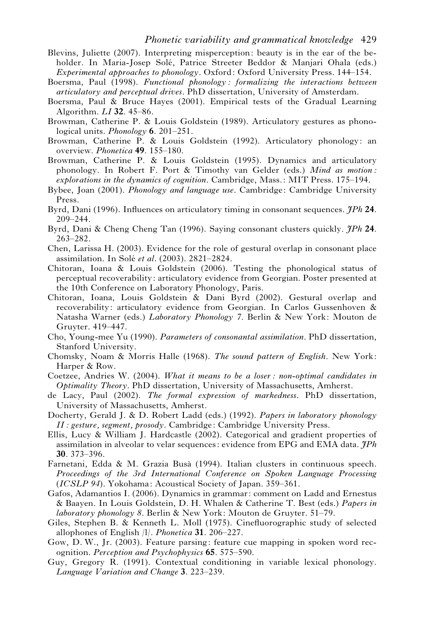- Blevins, Juliette (2007). Interpreting misperception: beauty is in the ear of the beholder. In Maria-Josep Solé, Patrice Streeter Beddor & Manjari Ohala (eds.) *Experimental approaches to phonology*. Oxford: Oxford University Press. 144–154.
- Boersma, Paul (1998). *Functional phonology : formalizing the interactions between articulatory and perceptual drives*. PhD dissertation, University of Amsterdam.
- Boersma, Paul & Bruce Hayes (2001). Empirical tests of the Gradual Learning Algorithm. *LI* **32**. 45–86.
- Browman, Catherine P. & Louis Goldstein (1989). Articulatory gestures as phonological units. *Phonology* **6**. 201–251.
- Browman, Catherine P. & Louis Goldstein (1992). Articulatory phonology: an overview. *Phonetica* **49**. 155–180.
- Browman, Catherine P. & Louis Goldstein (1995). Dynamics and articulatory phonology. In Robert F. Port & Timothy van Gelder (eds.) *Mind as motion: explorations in the dynamics of cognition*. Cambridge, Mass.: MIT Press. 175–194.
- Bybee, Joan (2001). *Phonology and language use*. Cambridge: Cambridge University Press.
- Byrd, Dani (1996). Influences on articulatory timing in consonant sequences. *JPh* **24**. 209–244.
- Byrd, Dani & Cheng Cheng Tan (1996). Saying consonant clusters quickly. *JPh* **24**. 263–282.
- Chen, Larissa H. (2003). Evidence for the role of gestural overlap in consonant place assimilation. In Sole´ *et al*. (2003). 2821–2824.
- Chitoran, Ioana & Louis Goldstein (2006). Testing the phonological status of perceptual recoverability: articulatory evidence from Georgian. Poster presented at the 10th Conference on Laboratory Phonology, Paris.
- Chitoran, Ioana, Louis Goldstein & Dani Byrd (2002). Gestural overlap and recoverability: articulatory evidence from Georgian. In Carlos Gussenhoven & Natasha Warner (eds.) *Laboratory Phonology 7*. Berlin & New York: Mouton de Gruyter. 419–447.
- Cho, Young-mee Yu (1990). *Parameters of consonantal assimilation*. PhD dissertation, Stanford University.
- Chomsky, Noam & Morris Halle (1968). *The sound pattern of English*. New York: Harper & Row.
- Coetzee, Andries W. (2004). *What it means to be a loser : non-optimal candidates in Optimality Theory*. PhD dissertation, University of Massachusetts, Amherst.
- de Lacy, Paul (2002). *The formal expression of markedness*. PhD dissertation, University of Massachusetts, Amherst.
- Docherty, Gerald J. & D. Robert Ladd (eds.) (1992). *Papers in laboratory phonology II : gesture, segment, prosody*. Cambridge: Cambridge University Press.
- Ellis, Lucy & William J. Hardcastle (2002). Categorical and gradient properties of assimilation in alveolar to velar sequences: evidence from EPG and EMA data. *JPh* **30**. 373–396.
- Farnetani, Edda & M. Grazia Busà (1994). Italian clusters in continuous speech. *Proceedings of the 3rd International Conference on Spoken Language Processing* (*ICSLP 94*). Yokohama: Acoustical Society of Japan. 359–361.
- Gafos, Adamantios I. (2006). Dynamics in grammar: comment on Ladd and Ernestus & Baayen. In Louis Goldstein, D. H. Whalen & Catherine T. Best (eds.) *Papers in laboratory phonology 8*. Berlin & New York: Mouton de Gruyter. 51–79.
- Giles, Stephen B. & Kenneth L. Moll (1975). Cinefluorographic study of selected allophones of English /l/. *Phonetica* **31**. 206–227.
- Gow, D. W., Jr. (2003). Feature parsing: feature cue mapping in spoken word recognition. *Perception and Psychophysics* **65**. 575–590.
- Guy, Gregory R. (1991). Contextual conditioning in variable lexical phonology. *Language Variation and Change* **3**. 223–239.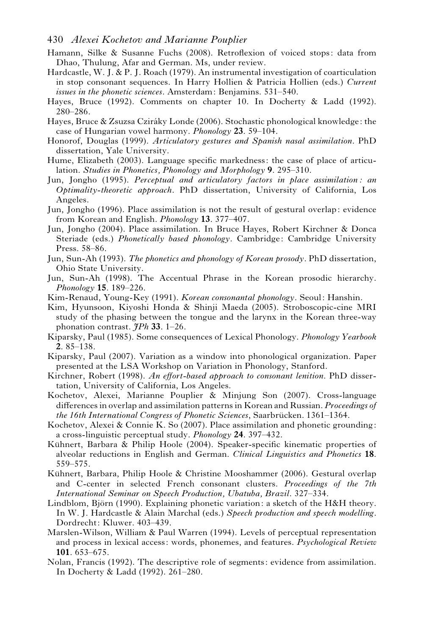- Hamann, Silke & Susanne Fuchs (2008). Retroflexion of voiced stops: data from Dhao, Thulung, Afar and German. Ms, under review.
- Hardcastle, W. J. & P. J. Roach (1979). An instrumental investigation of coarticulation in stop consonant sequences. In Harry Hollien & Patricia Hollien (eds.) *Current issues in the phonetic sciences*. Amsterdam: Benjamins. 531–540.
- Hayes, Bruce (1992). Comments on chapter 10. In Docherty & Ladd (1992). 280–286.
- Hayes, Bruce & Zsuzsa Cziráky Londe (2006). Stochastic phonological knowledge: the case of Hungarian vowel harmony. *Phonology* **23**. 59–104.
- Honorof, Douglas (1999). *Articulatory gestures and Spanish nasal assimilation*. PhD dissertation, Yale University.
- Hume, Elizabeth (2003). Language specific markedness: the case of place of articulation. *Studies in Phonetics, Phonology and Morphology* **9**. 295–310.
- Jun, Jongho (1995). *Perceptual and articulatory factors in place assimilation : an Optimality-theoretic approach*. PhD dissertation, University of California, Los Angeles.
- Jun, Jongho (1996). Place assimilation is not the result of gestural overlap: evidence from Korean and English. *Phonology* **13**. 377–407.
- Jun, Jongho (2004). Place assimilation. In Bruce Hayes, Robert Kirchner & Donca Steriade (eds.) *Phonetically based phonology*. Cambridge: Cambridge University Press. 58–86.
- Jun, Sun-Ah (1993). *The phonetics and phonology of Korean prosody*. PhD dissertation, Ohio State University.
- Jun, Sun-Ah (1998). The Accentual Phrase in the Korean prosodic hierarchy. *Phonology* **15**. 189–226.
- Kim-Renaud, Young-Key (1991). *Korean consonantal phonology*. Seoul: Hanshin.
- Kim, Hyunsoon, Kiyoshi Honda & Shinji Maeda (2005). Stroboscopic-cine MRI study of the phasing between the tongue and the larynx in the Korean three-way phonation contrast. *JPh* **33**. 1–26.
- Kiparsky, Paul (1985). Some consequences of Lexical Phonology. *Phonology Yearbook* **2**. 85–138.
- Kiparsky, Paul (2007). Variation as a window into phonological organization. Paper presented at the LSA Workshop on Variation in Phonology, Stanford.
- Kirchner, Robert (1998). *An effort-based approach to consonant lenition*. PhD dissertation, University of California, Los Angeles.
- Kochetov, Alexei, Marianne Pouplier & Minjung Son (2007). Cross-language differences in overlap and assimilation patterns in Korean and Russian. *Proceedings of the 16th International Congress of Phonetic Sciences*, Saarbrücken. 1361–1364.
- Kochetov, Alexei & Connie K. So (2007). Place assimilation and phonetic grounding: a cross-linguistic perceptual study. *Phonology* **24**. 397–432.
- Kühnert, Barbara & Philip Hoole (2004). Speaker-specific kinematic properties of alveolar reductions in English and German. *Clinical Linguistics and Phonetics* **18**. 559–575.
- Kühnert, Barbara, Philip Hoole & Christine Mooshammer (2006). Gestural overlap and C-center in selected French consonant clusters. *Proceedings of the 7th International Seminar on Speech Production, Ubatuba, Brazil*. 327–334.
- Lindblom, Björn (1990). Explaining phonetic variation: a sketch of the H&H theory. In W. J. Hardcastle & Alain Marchal (eds.) *Speech production and speech modelling*. Dordrecht: Kluwer. 403–439.
- Marslen-Wilson, William & Paul Warren (1994). Levels of perceptual representation and process in lexical access: words, phonemes, and features. *Psychological Review* **101**. 653–675.
- Nolan, Francis (1992). The descriptive role of segments: evidence from assimilation. In Docherty & Ladd (1992). 261–280.